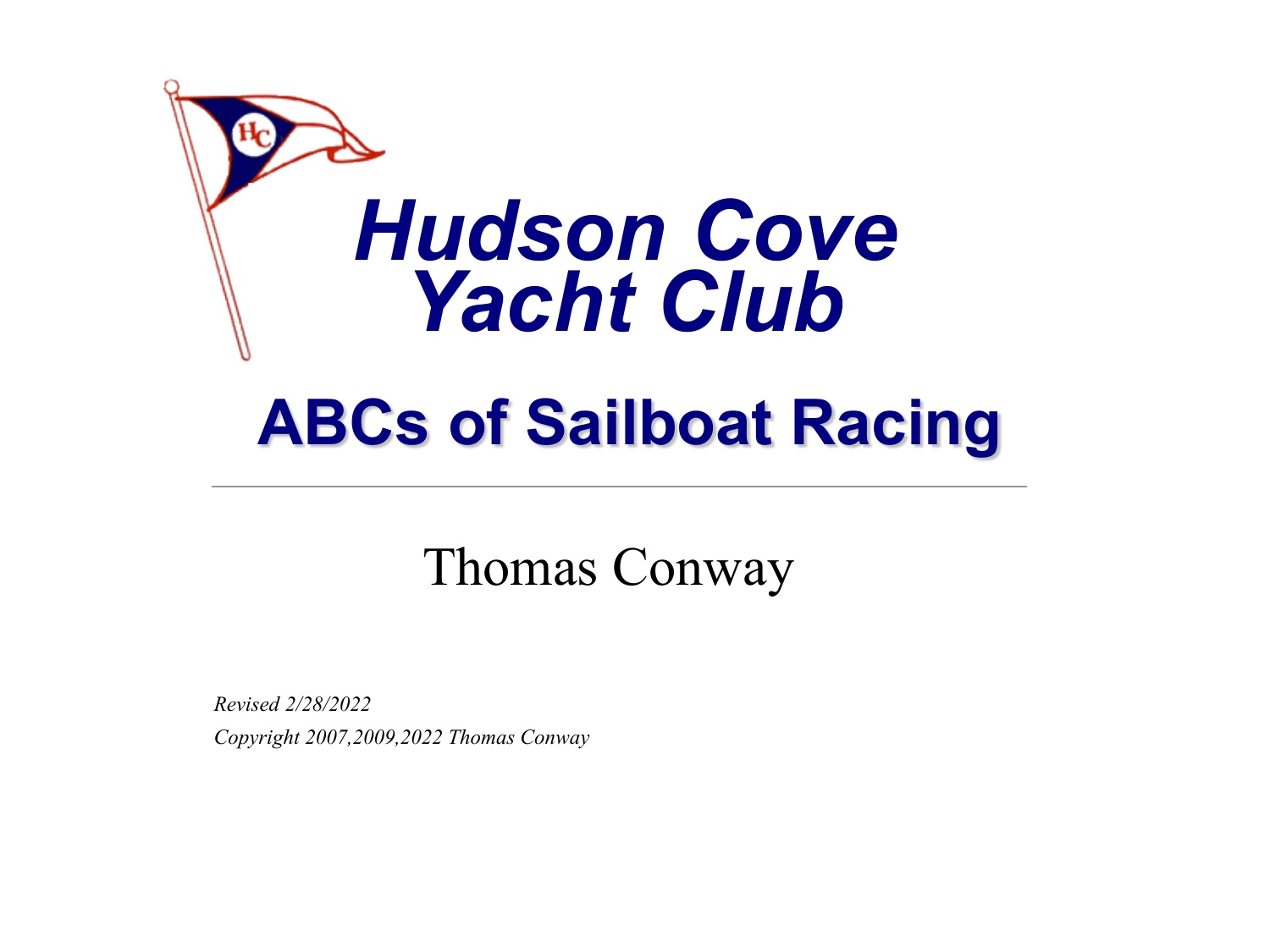

## **ABCs of Sailboat Racing**

#### Thomas Conway

*Revised 2/28/2022 Copyright 2007,2009,2022 Thomas Conway*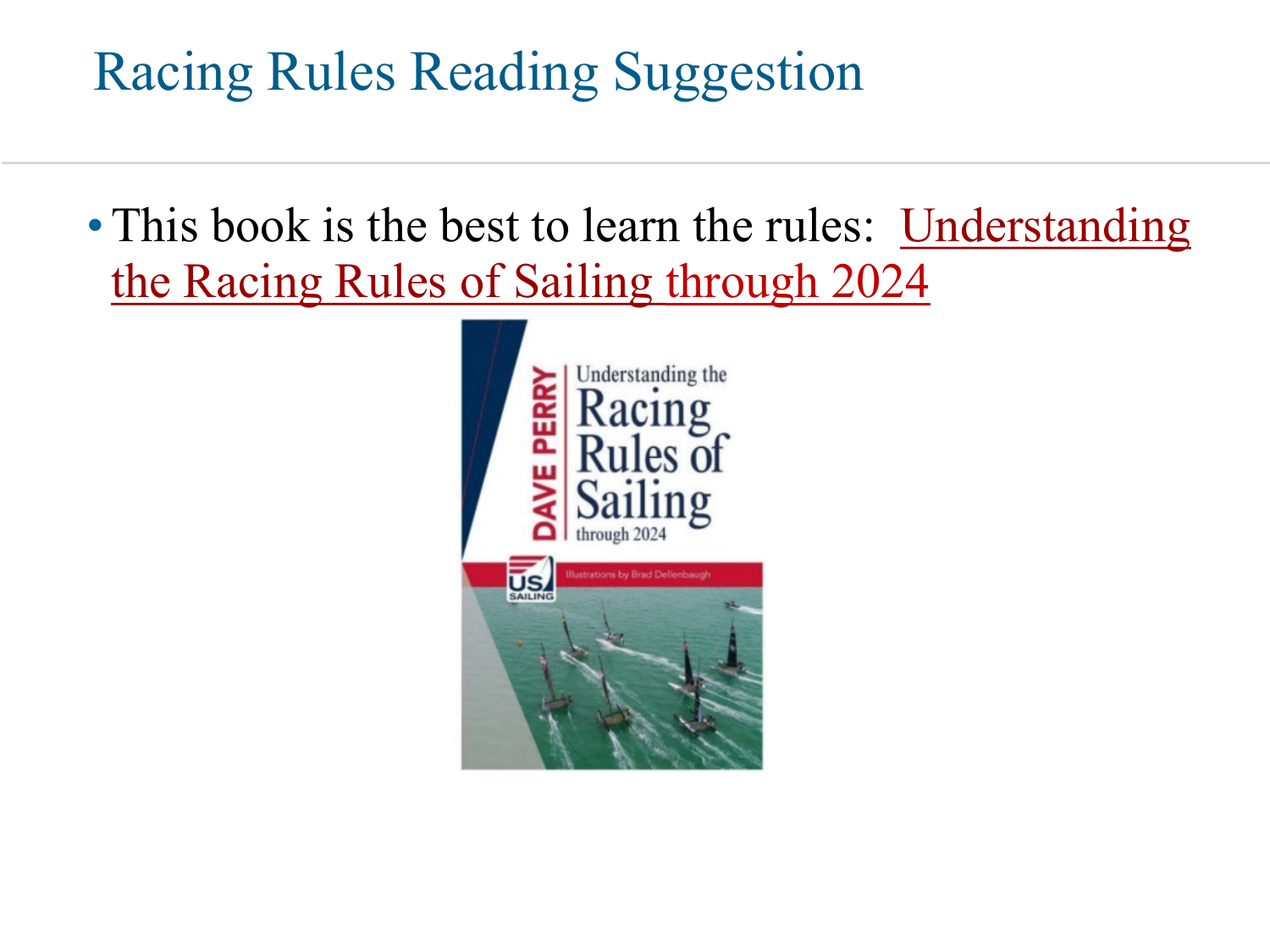#### Racing Rules Reading Suggestion

• [This book is the best to learn the rules: Understanding](http://www.amazon.com/Understanding-Racing-Rules-Sailing-2009-2012/dp/0979467764/ref=sr_1_1?ie=UTF8&s=books&qid=1242395278&sr=8-1) the Racing Rules of Sailing through 2024

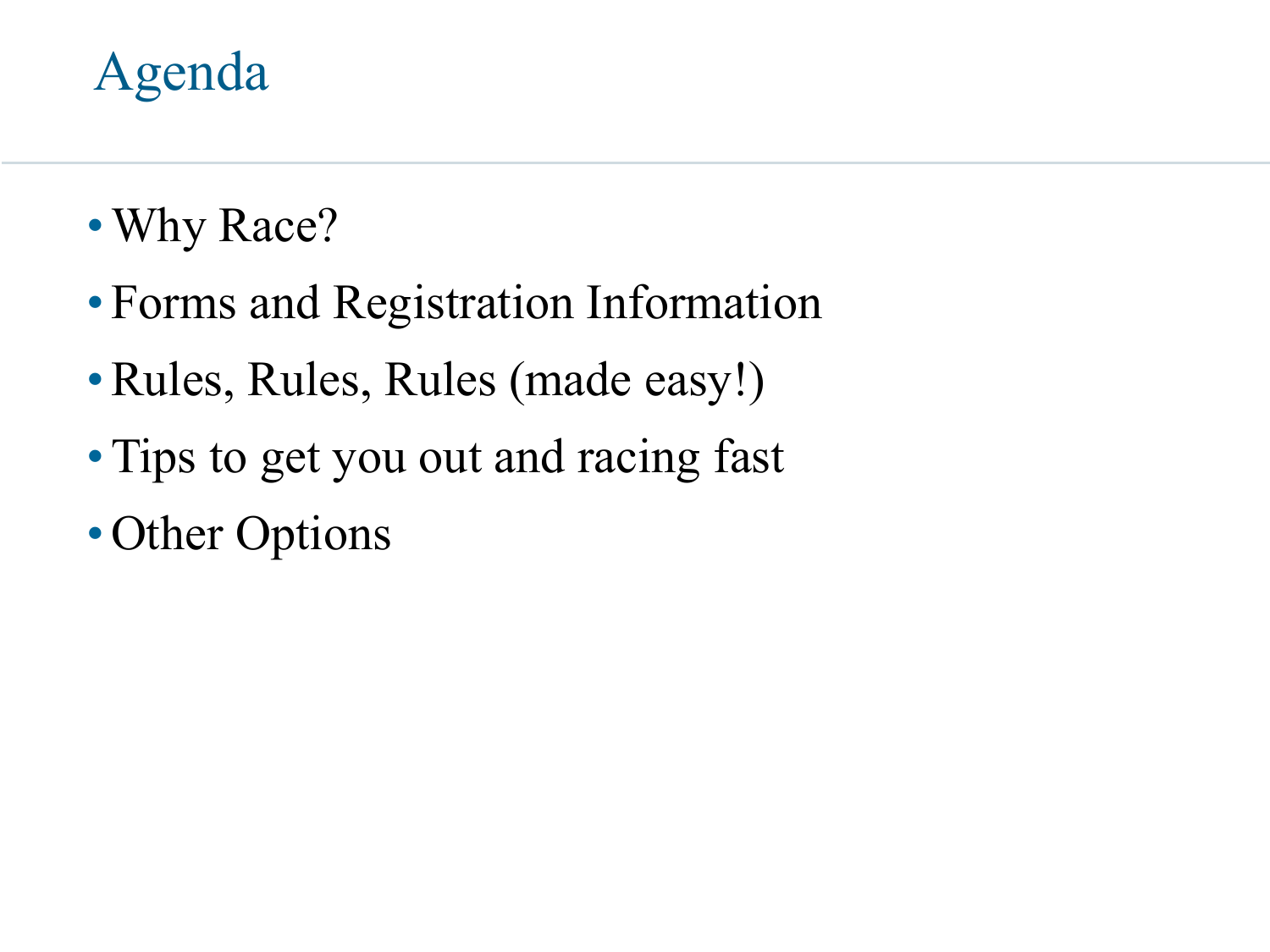#### Agenda

- Why Race?
- Forms and Registration Information
- •Rules, Rules, Rules (made easy!)
- Tips to get you out and racing fast
- Other Options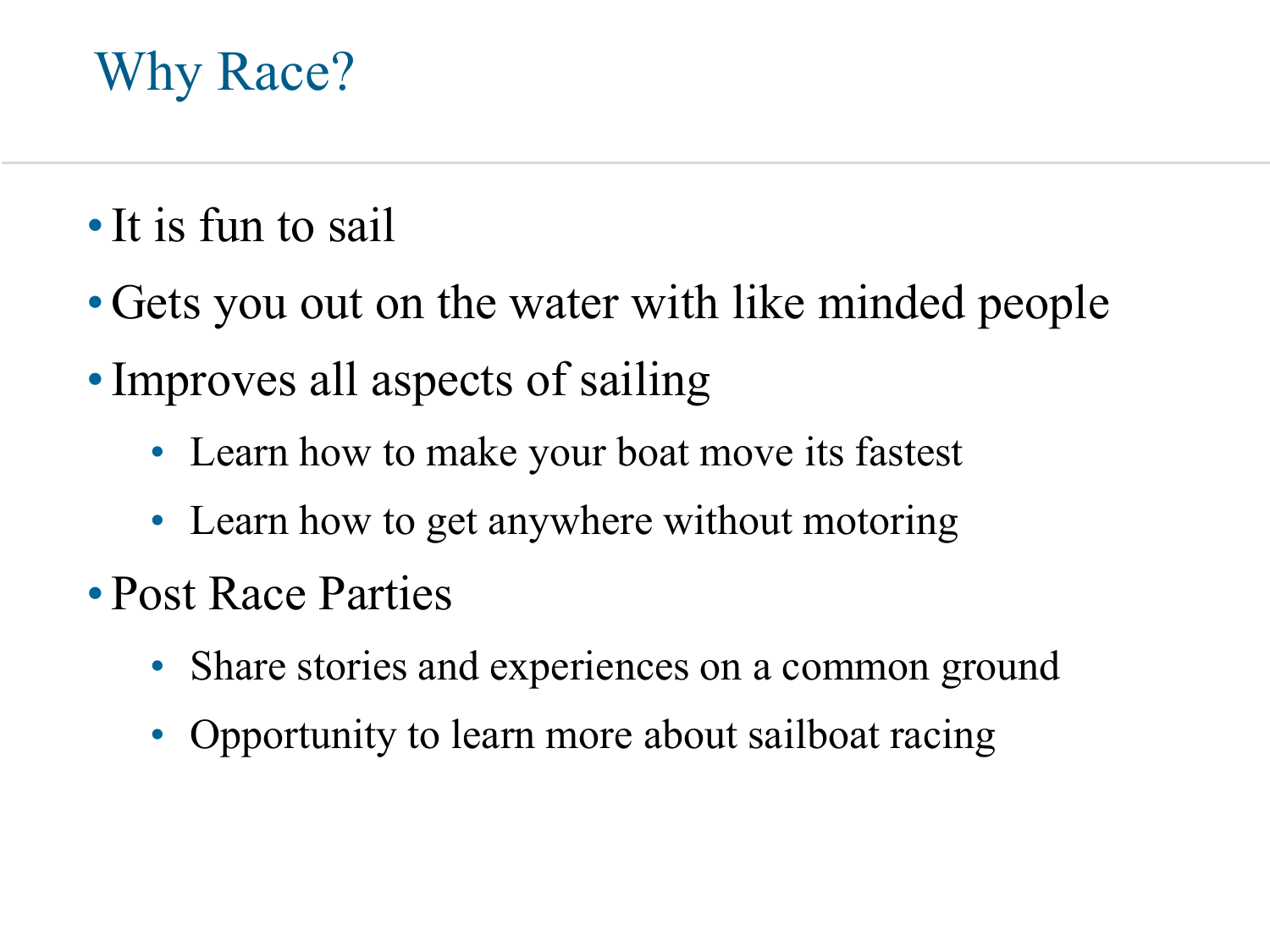#### Why Race?

- •It is fun to sail
- Gets you out on the water with like minded people
- Improves all aspects of sailing
	- Learn how to make your boat move its fastest
	- Learn how to get anywhere without motoring
- Post Race Parties
	- Share stories and experiences on a common ground
	- Opportunity to learn more about sailboat racing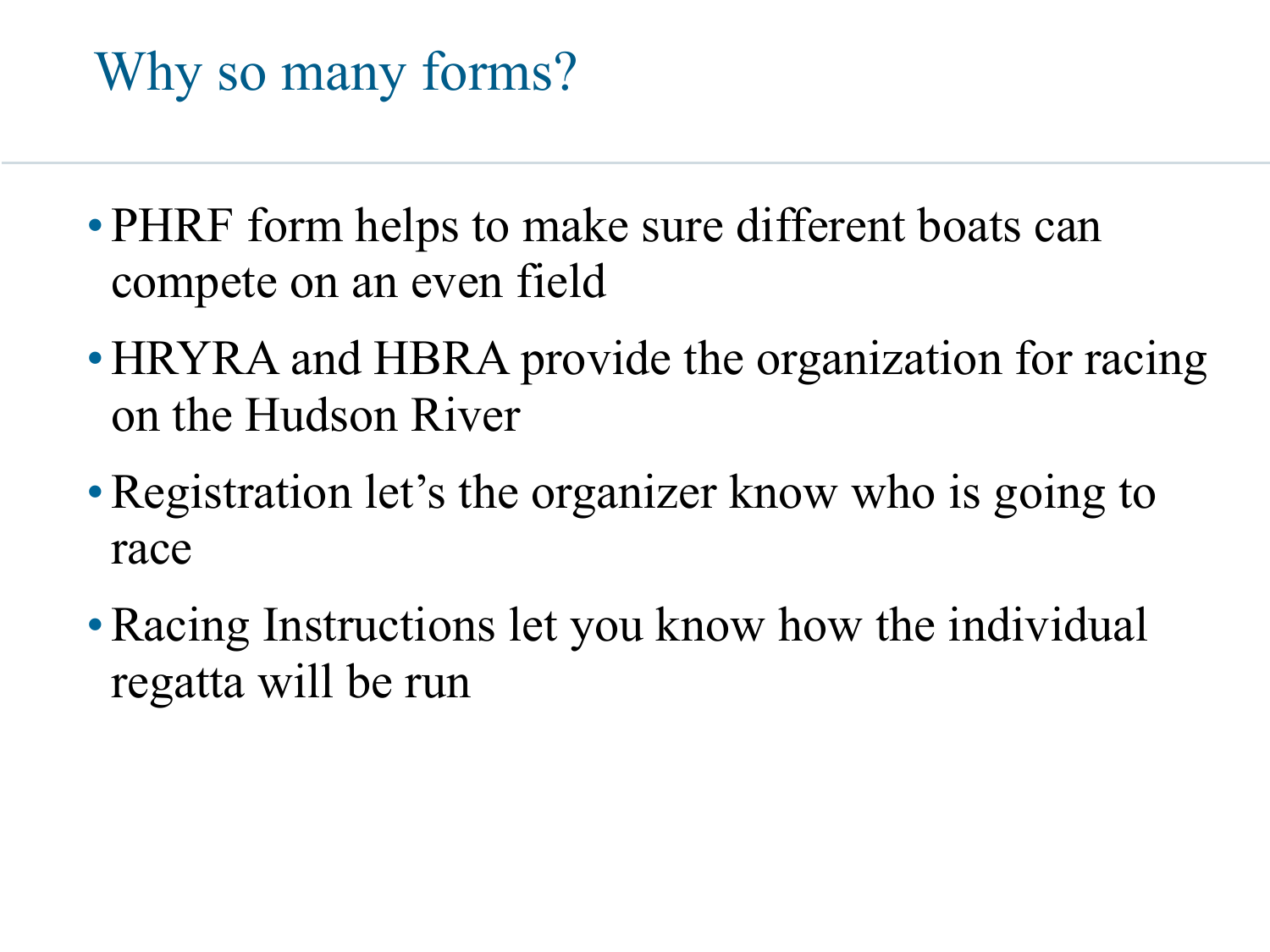### Why so many forms?

- PHRF form helps to make sure different boats can compete on an even field
- HRYRA and HBRA provide the organization for racing on the Hudson River
- Registration let's the organizer know who is going to race
- Racing Instructions let you know how the individual regatta will be run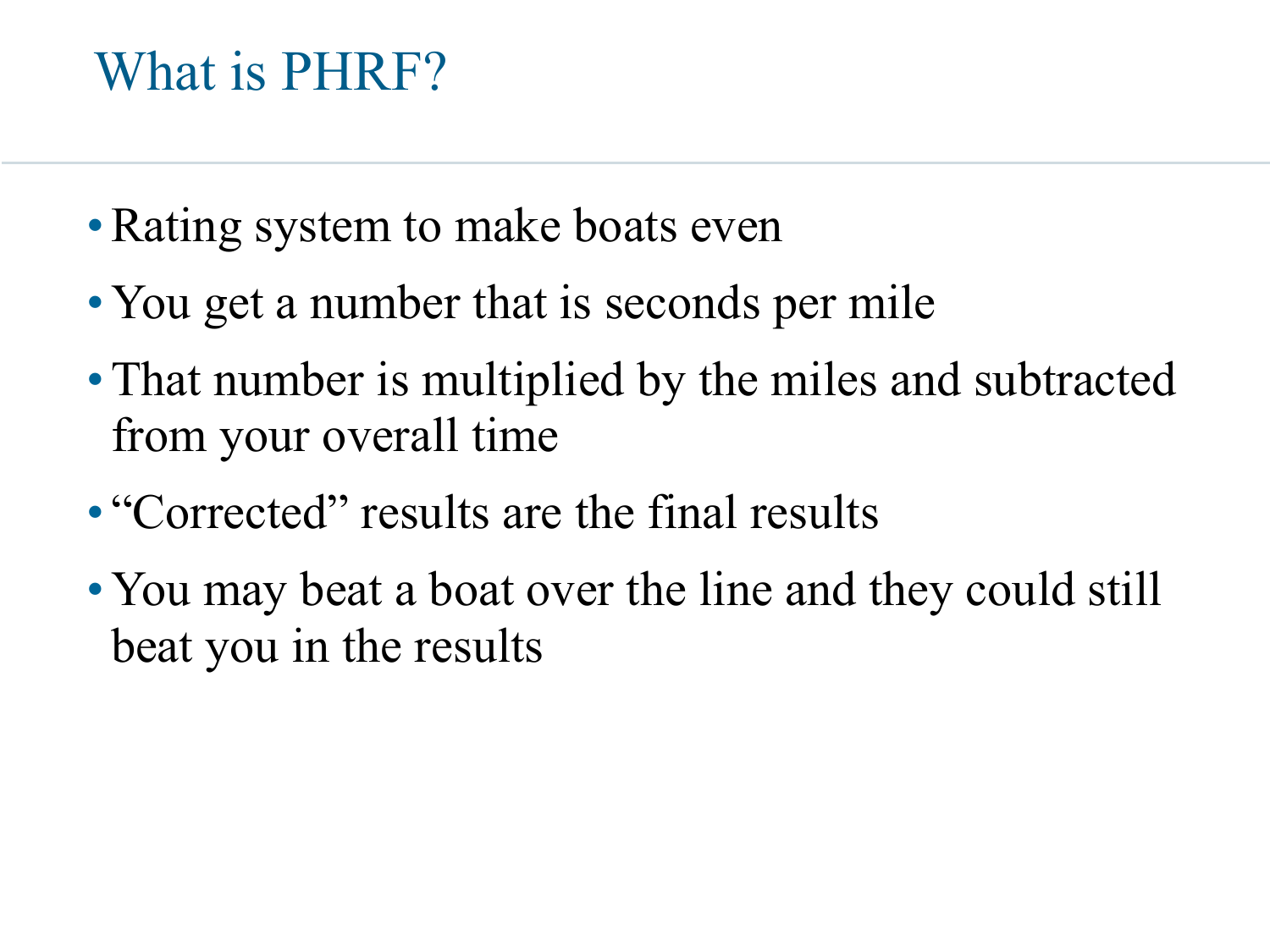#### What is PHRF?

- Rating system to make boats even
- You get a number that is seconds per mile
- That number is multiplied by the miles and subtracted from your overall time
- "Corrected" results are the final results
- You may beat a boat over the line and they could still beat you in the results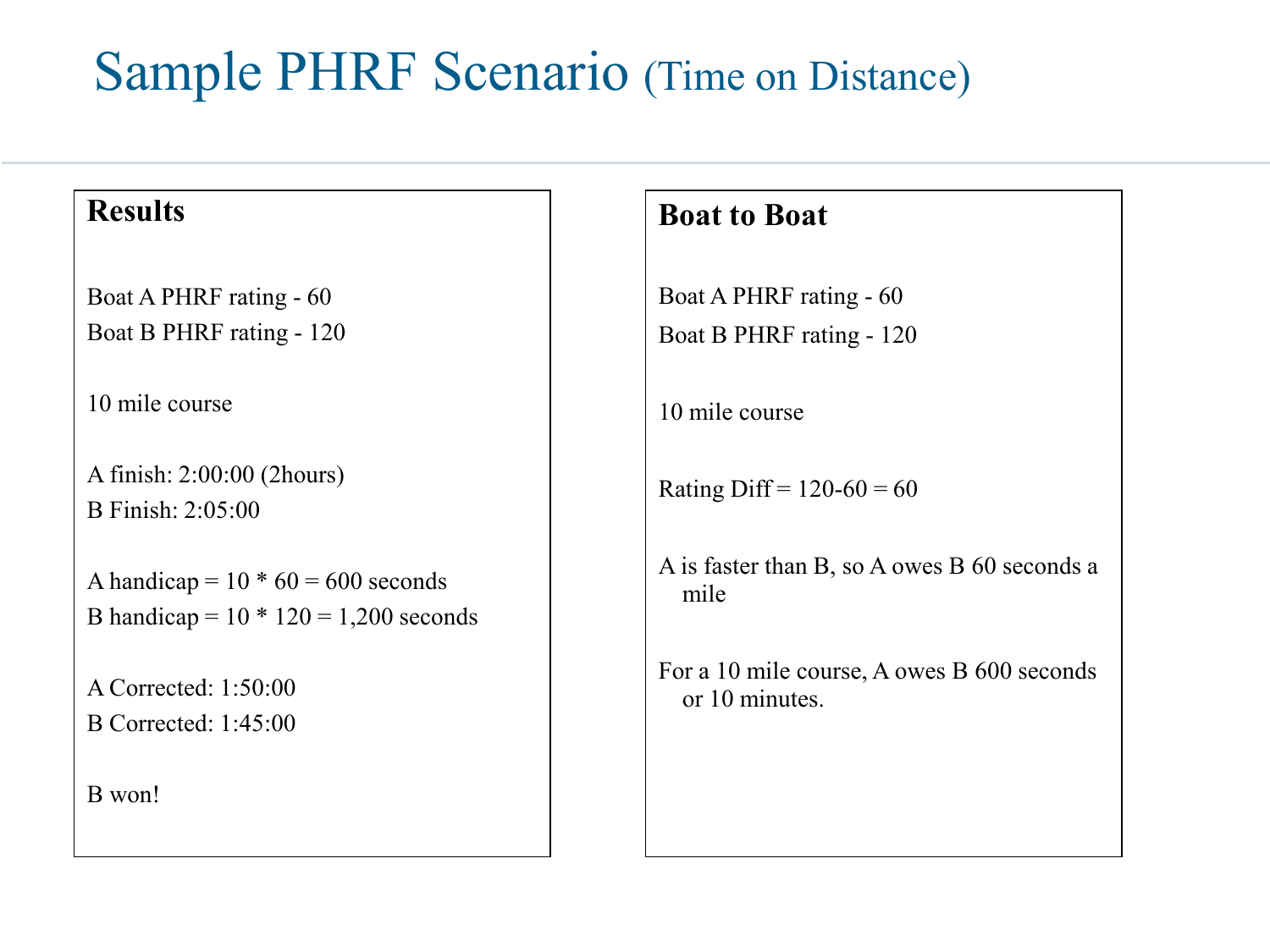#### Sample PHRF Scenario (Time on Distance)

#### **Results**

Boat A PHRF rating - 60 Boat B PHRF rating - 120

10 mile course

A finish: 2:00:00 (2hours) B Finish: 2:05:00

A handicap =  $10 * 60 = 600$  seconds B handicap =  $10 * 120 = 1,200$  seconds

A Corrected: 1:50:00 B Corrected: 1:45:00

B won!

#### **Boat to Boat**

Boat A PHRF rating - 60 Boat B PHRF rating - 120

10 mile course

Rating Diff =  $120-60 = 60$ 

A is faster than B, so A owes B 60 seconds a mile

For a 10 mile course, A owes B 600 seconds or 10 minutes.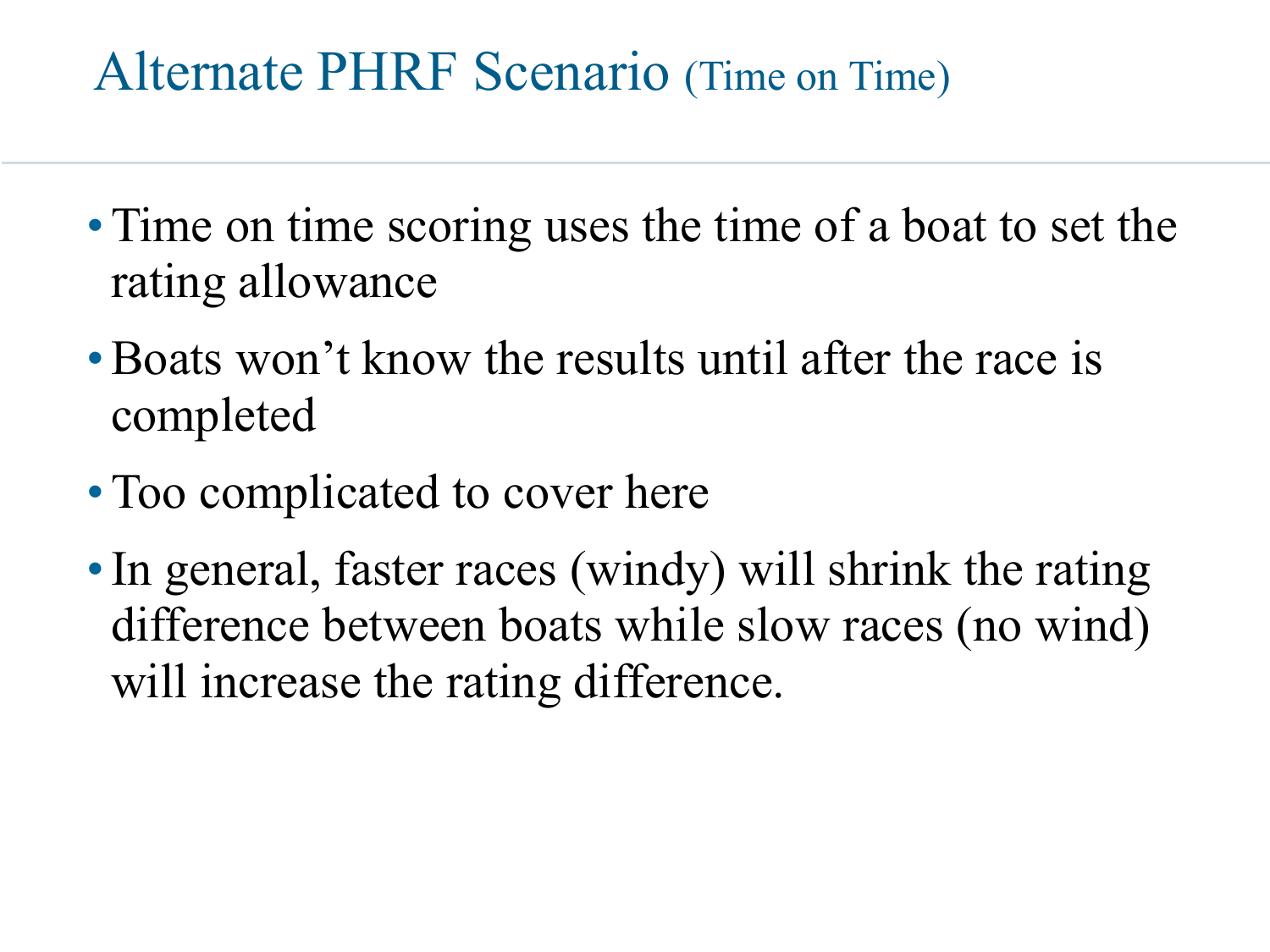#### Alternate PHRF Scenario (Time on Time)

- Time on time scoring uses the time of a boat to set the rating allowance
- Boats won't know the results until after the race is completed
- Too complicated to cover here
- In general, faster races (windy) will shrink the rating difference between boats while slow races (no wind) will increase the rating difference.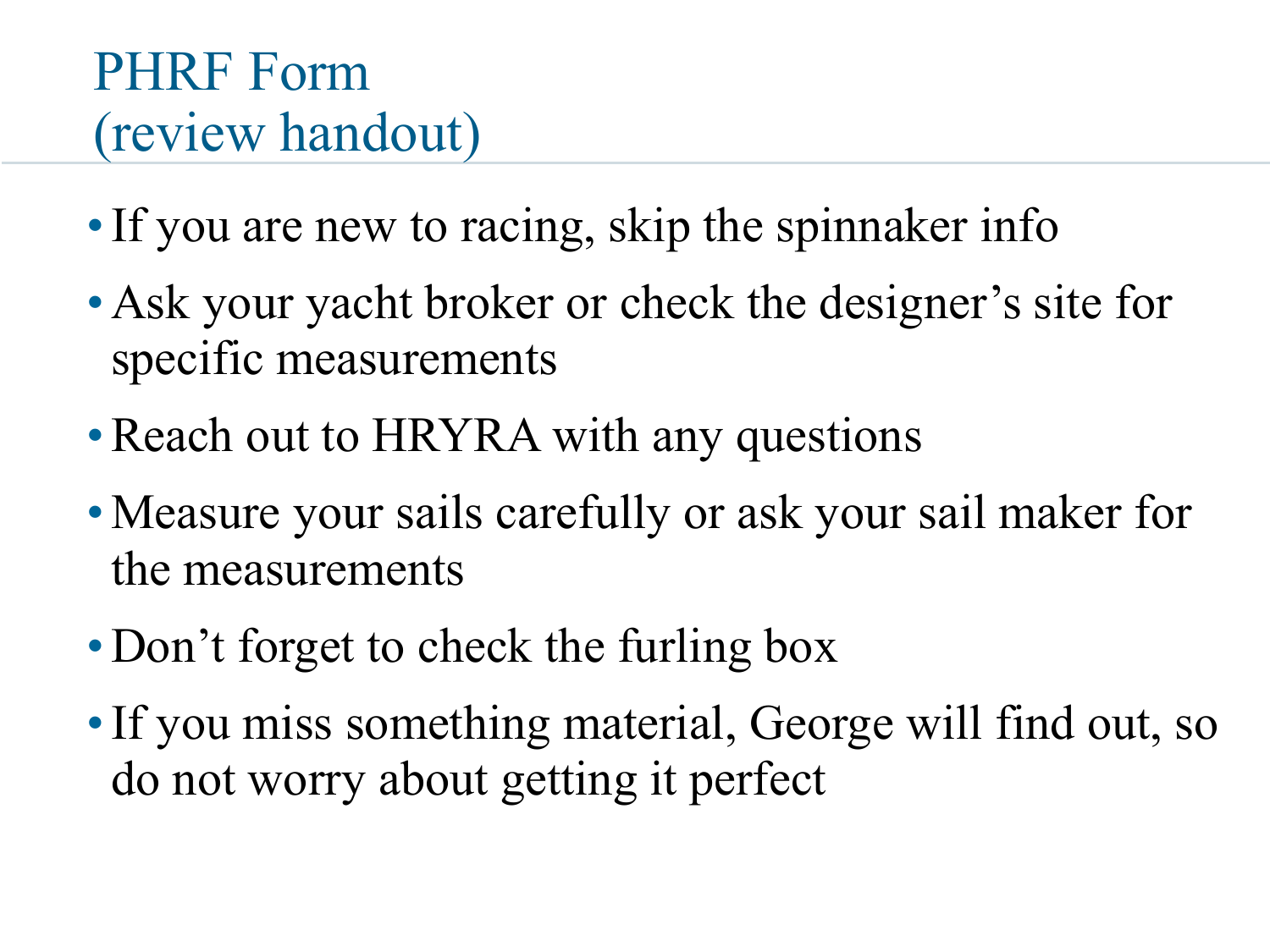#### PHRF Form (review handout)

- If you are new to racing, skip the spinnaker info
- Ask your yacht broker or check the designer's site for specific measurements
- Reach out to HRYRA with any questions
- Measure your sails carefully or ask your sail maker for the measurements
- Don't forget to check the furling box
- •If you miss something material, George will find out, so do not worry about getting it perfect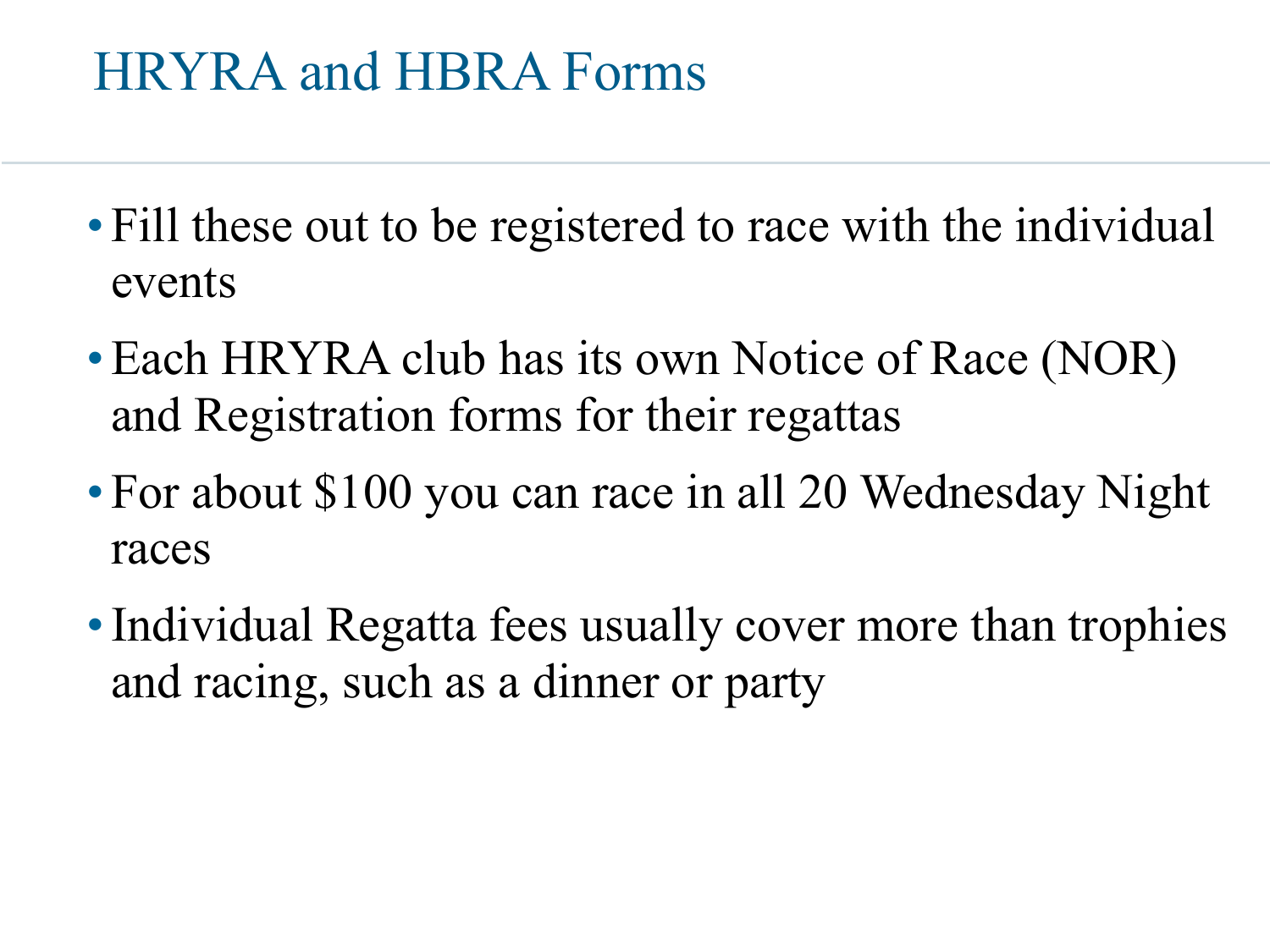#### HRYRA and HBRA Forms

- Fill these out to be registered to race with the individual events
- Each HRYRA club has its own Notice of Race (NOR) and Registration forms for their regattas
- For about \$100 you can race in all 20 Wednesday Night races
- Individual Regatta fees usually cover more than trophies and racing, such as a dinner or party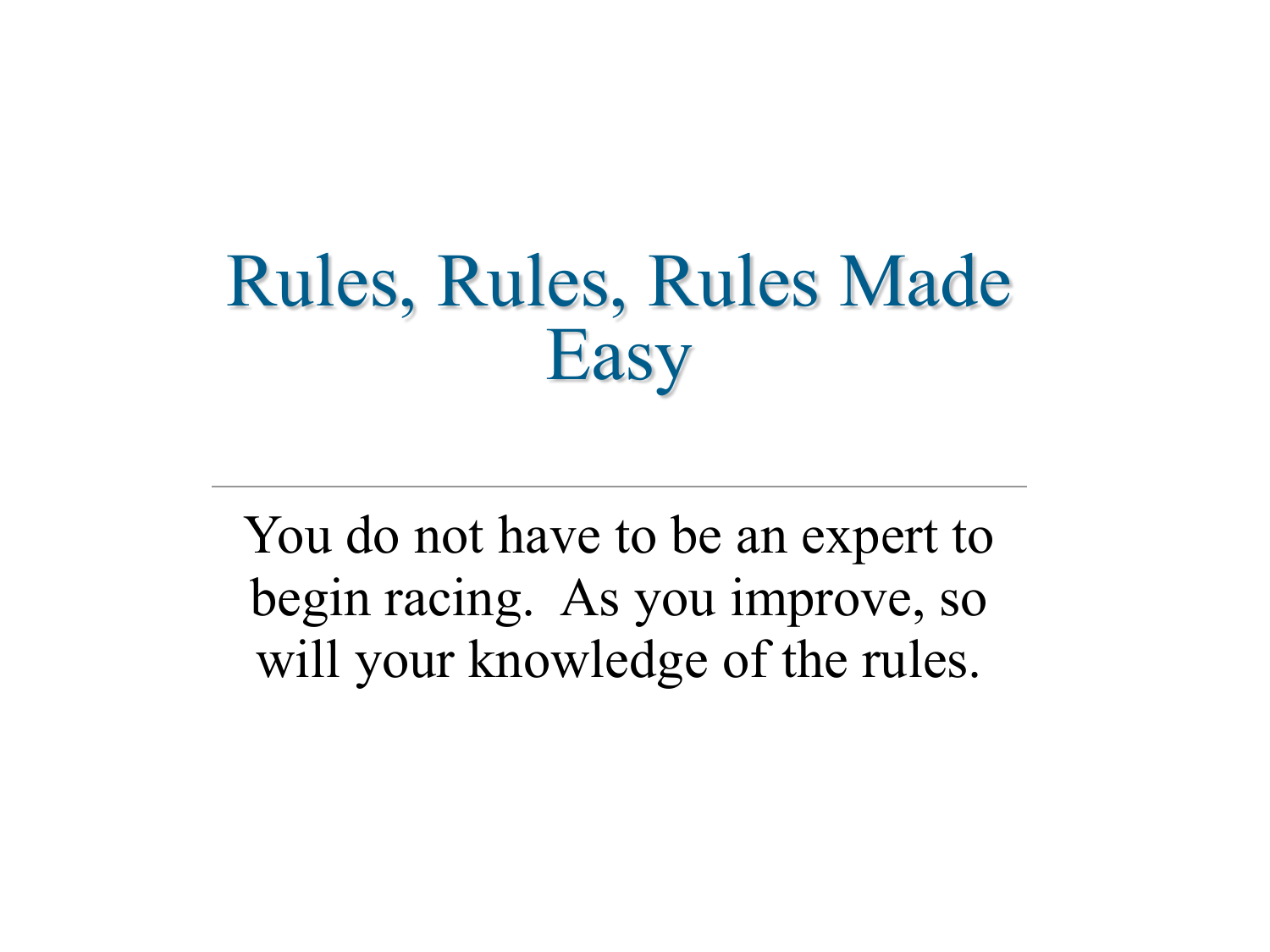# Rules, Rules, Rules Made Easy

You do not have to be an expert to begin racing. As you improve, so will your knowledge of the rules.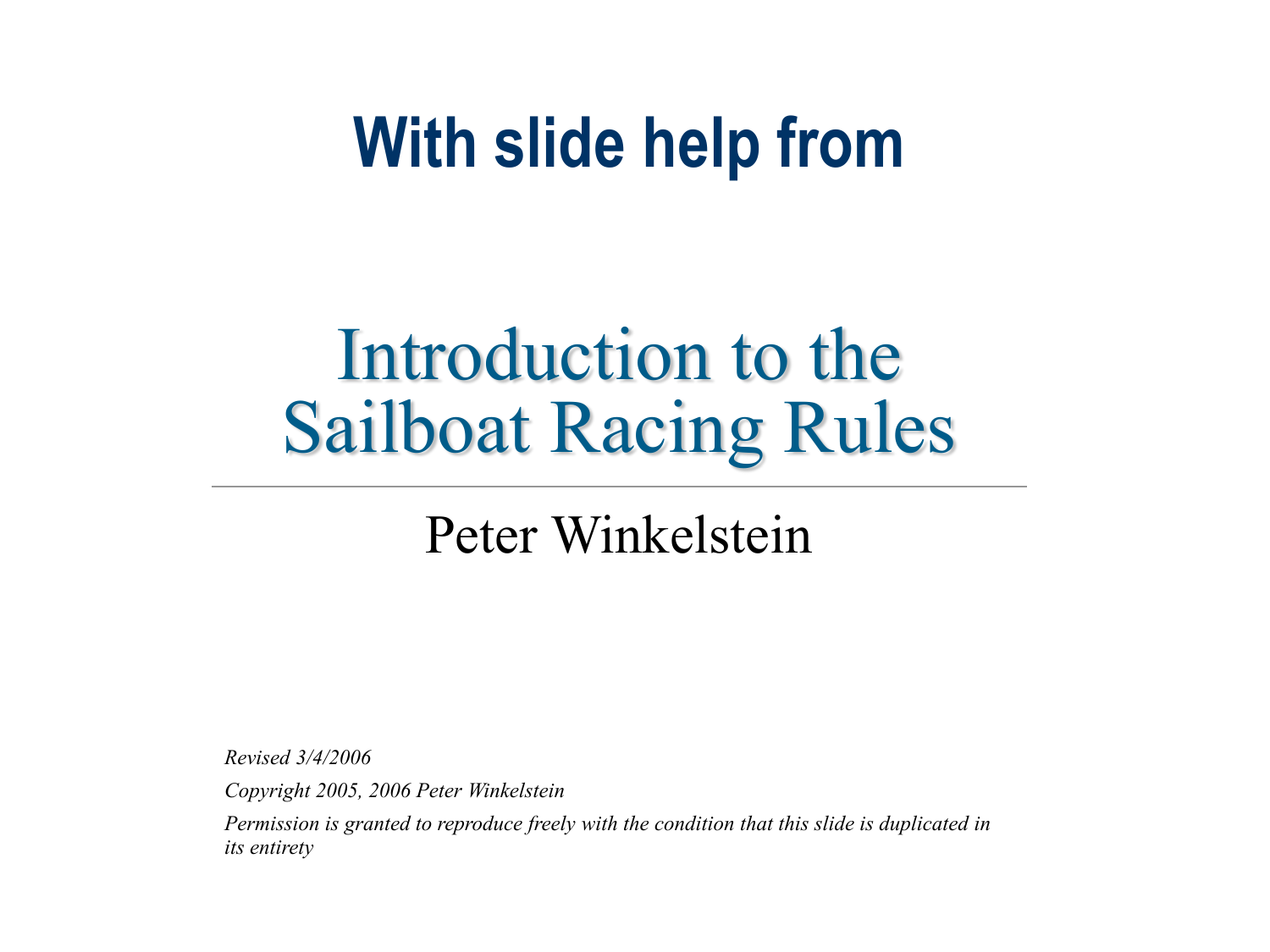# **With slide help from**

# Introduction to the Sailboat Racing Rules

#### Peter Winkelstein

*Revised 3/4/2006*

*Copyright 2005, 2006 Peter Winkelstein*

*Permission is granted to reproduce freely with the condition that this slide is duplicated in its entirety*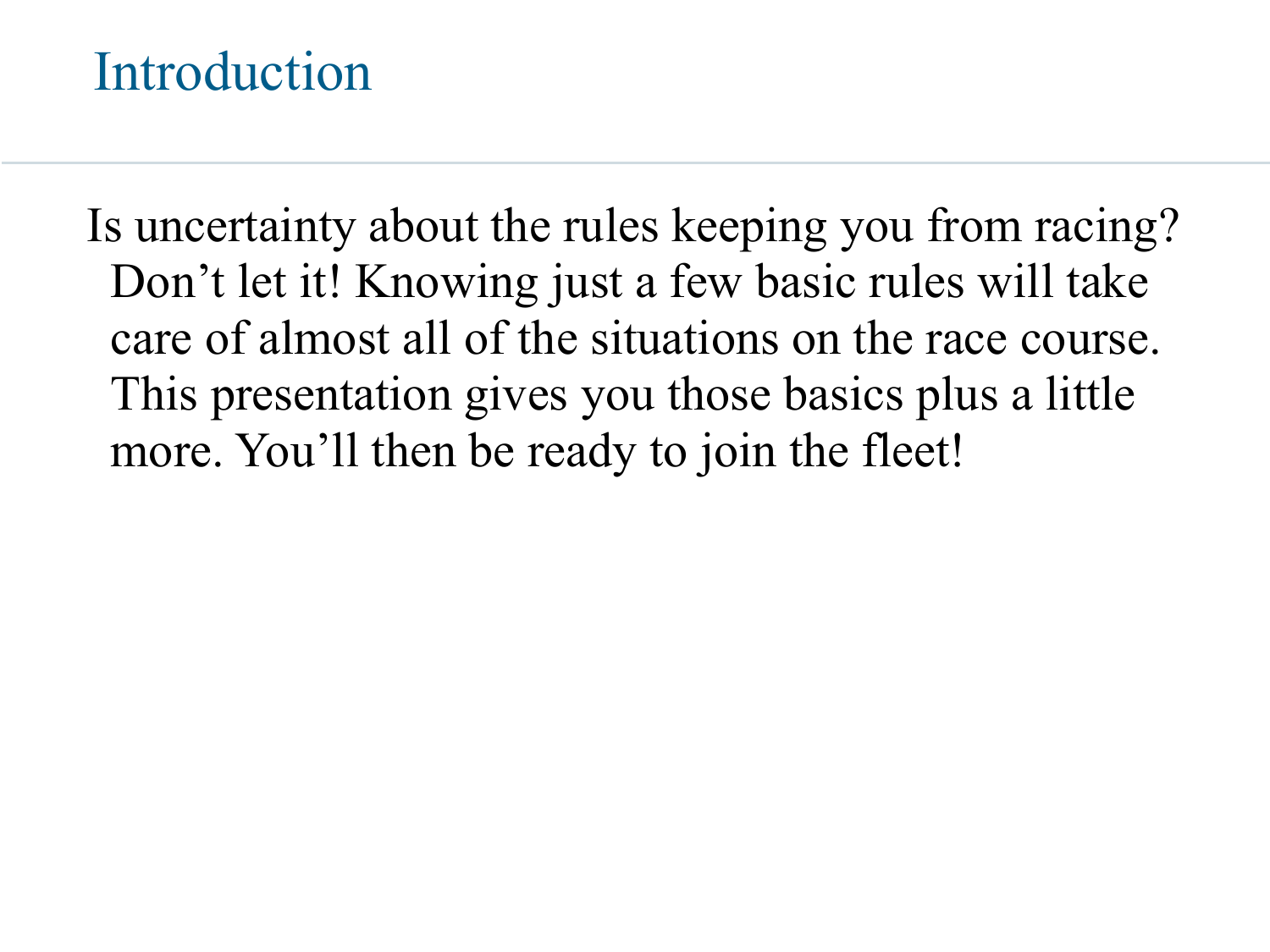#### Introduction

Is uncertainty about the rules keeping you from racing? Don't let it! Knowing just a few basic rules will take care of almost all of the situations on the race course. This presentation gives you those basics plus a little more. You'll then be ready to join the fleet!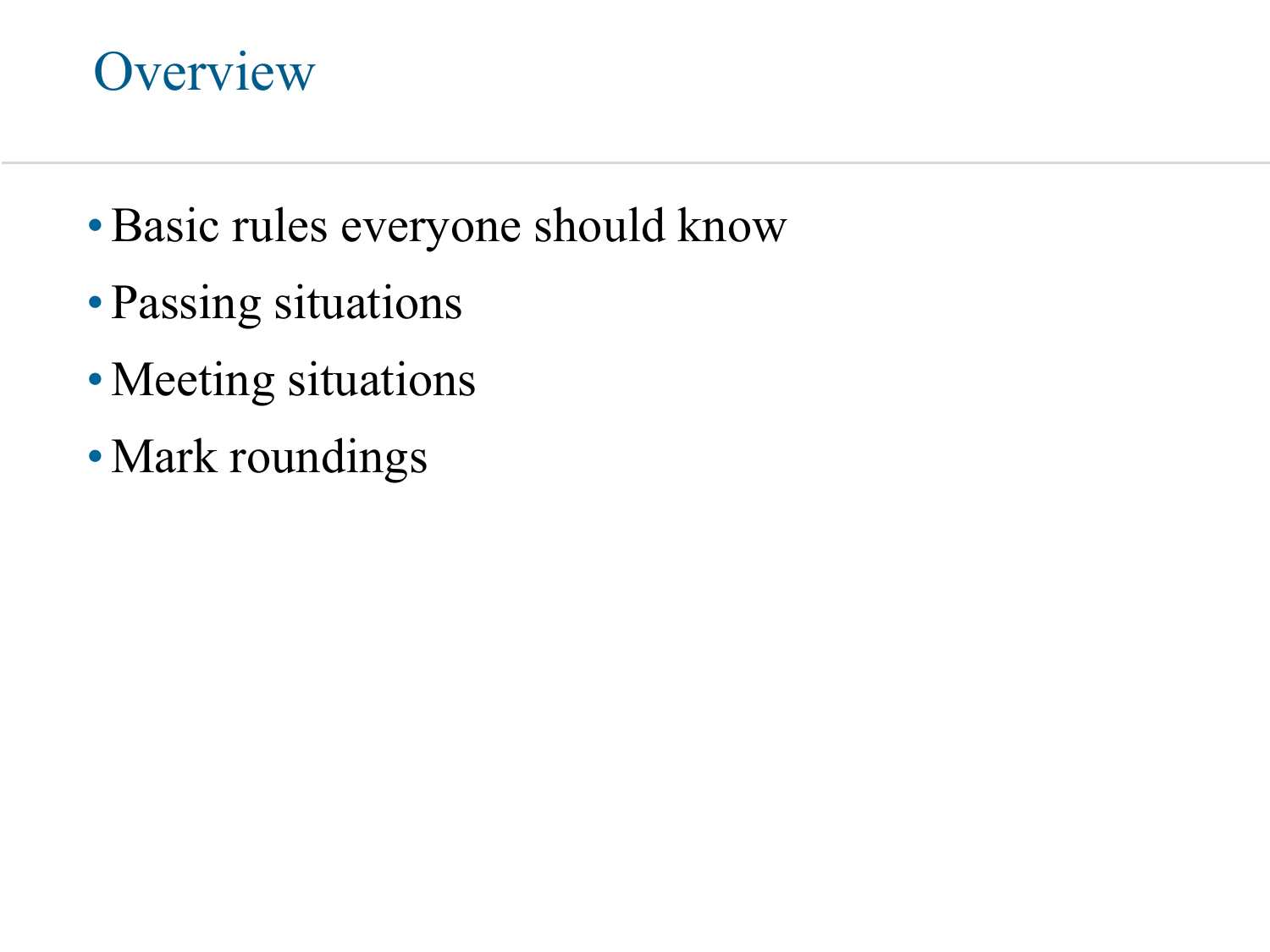#### **Overview**

- •Basic rules everyone should know
- Passing situations
- •Meeting situations
- Mark roundings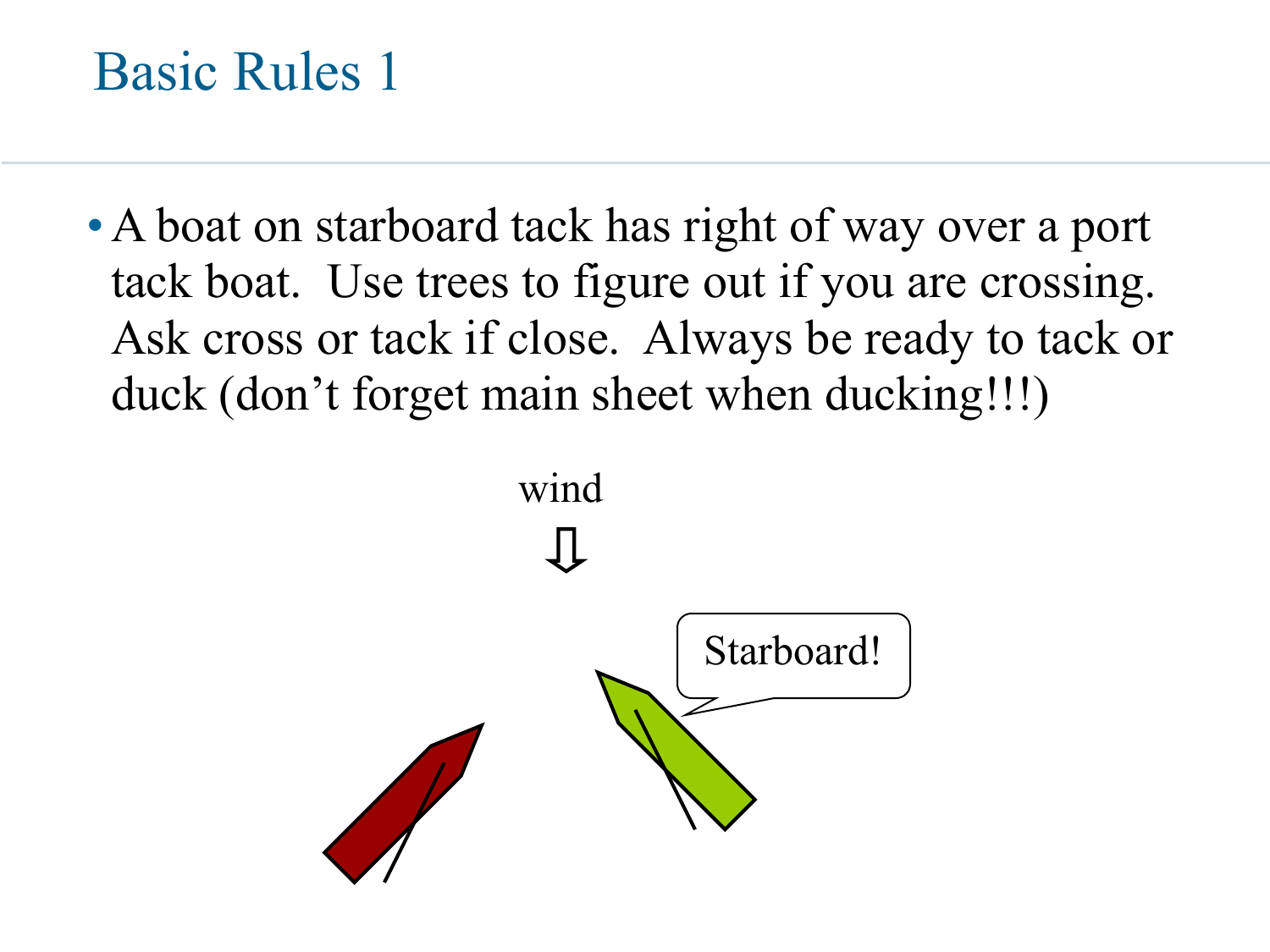• A boat on starboard tack has right of way over a port tack boat. Use trees to figure out if you are crossing. Ask cross or tack if close. Always be ready to tack or duck (don't forget main sheet when ducking!!!)

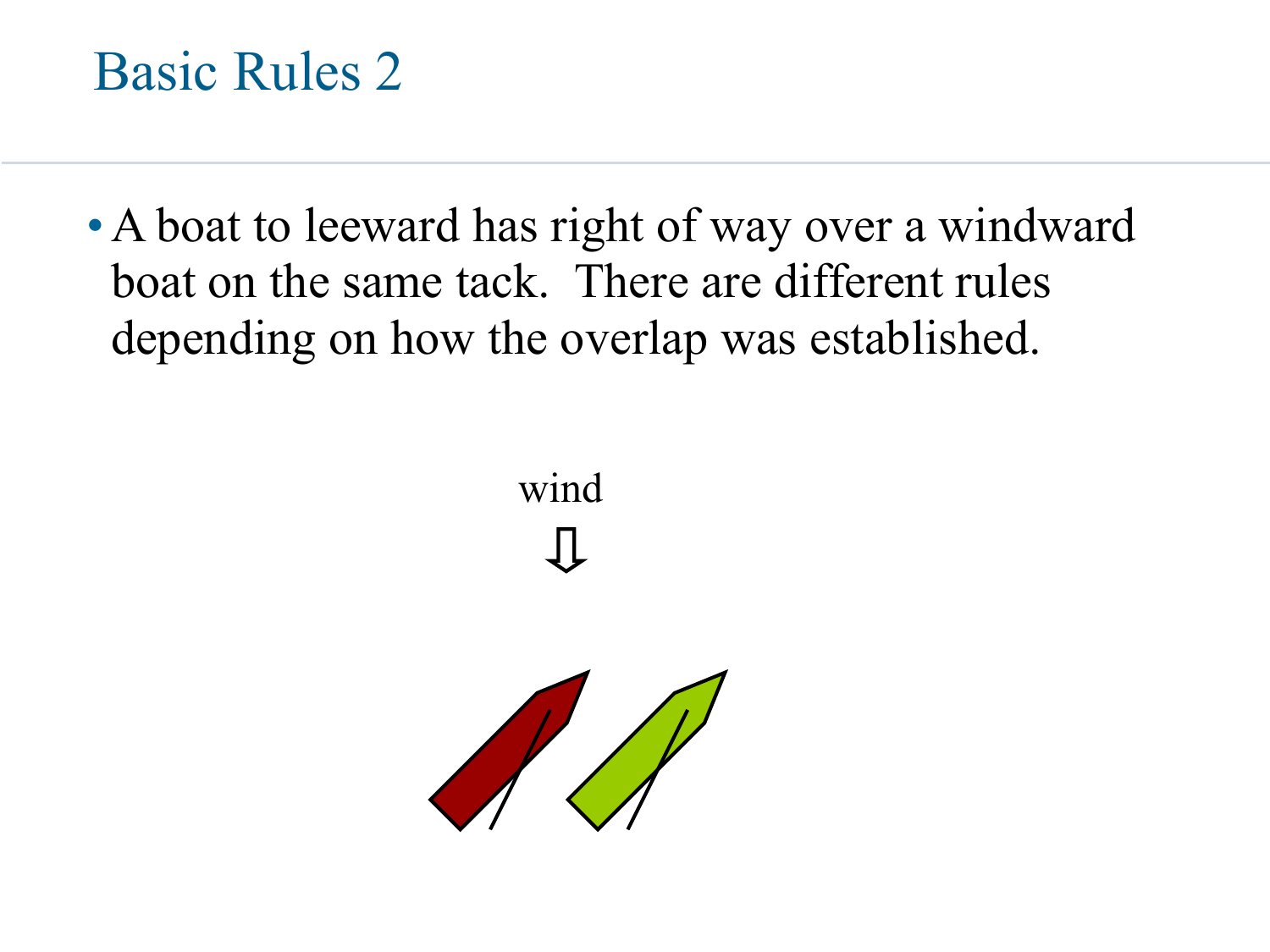

• A boat to leeward has right of way over a windward boat on the same tack. There are different rules depending on how the overlap was established.



wind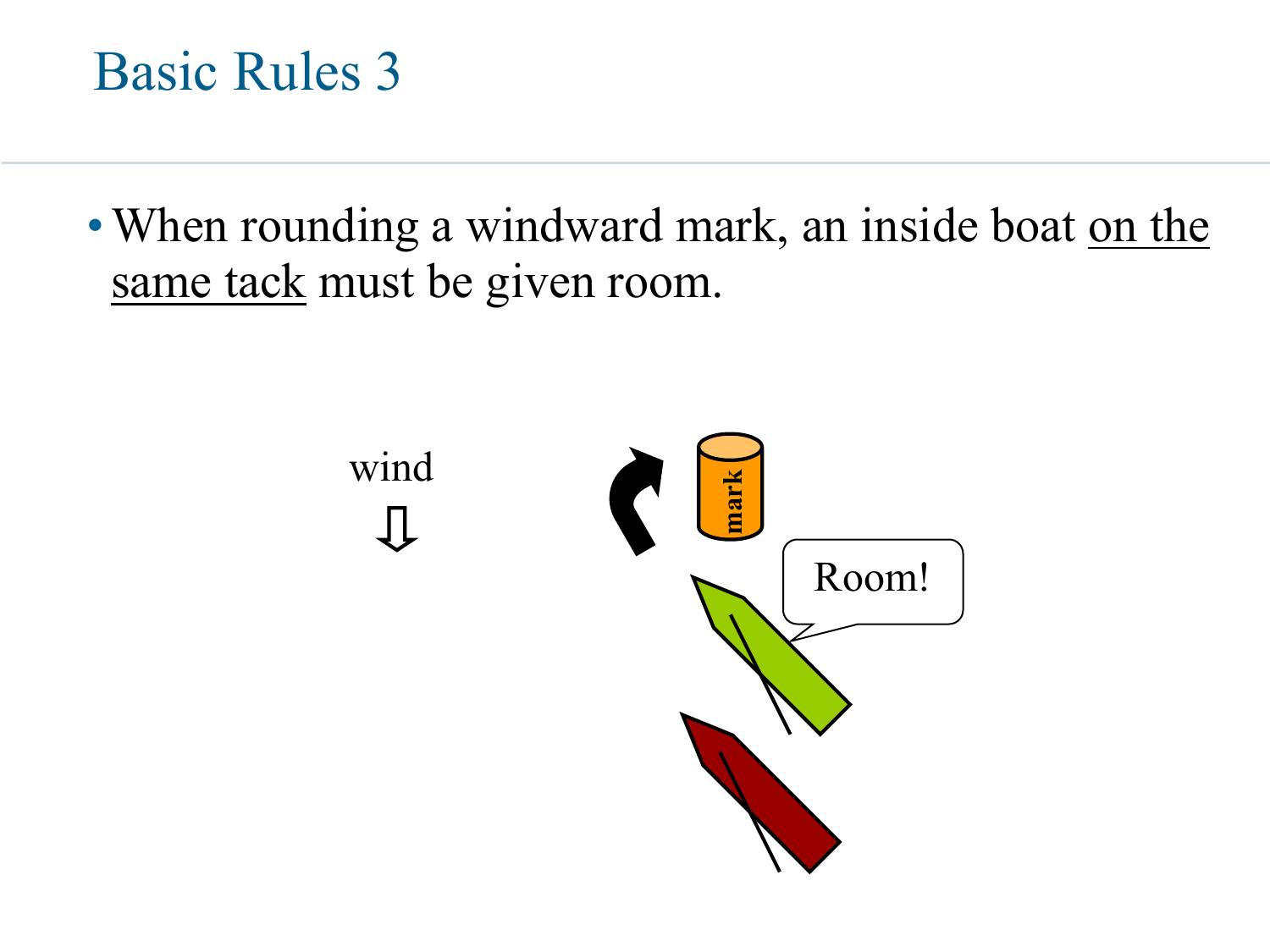

• When rounding a windward mark, an inside boat on the same tack must be given room.

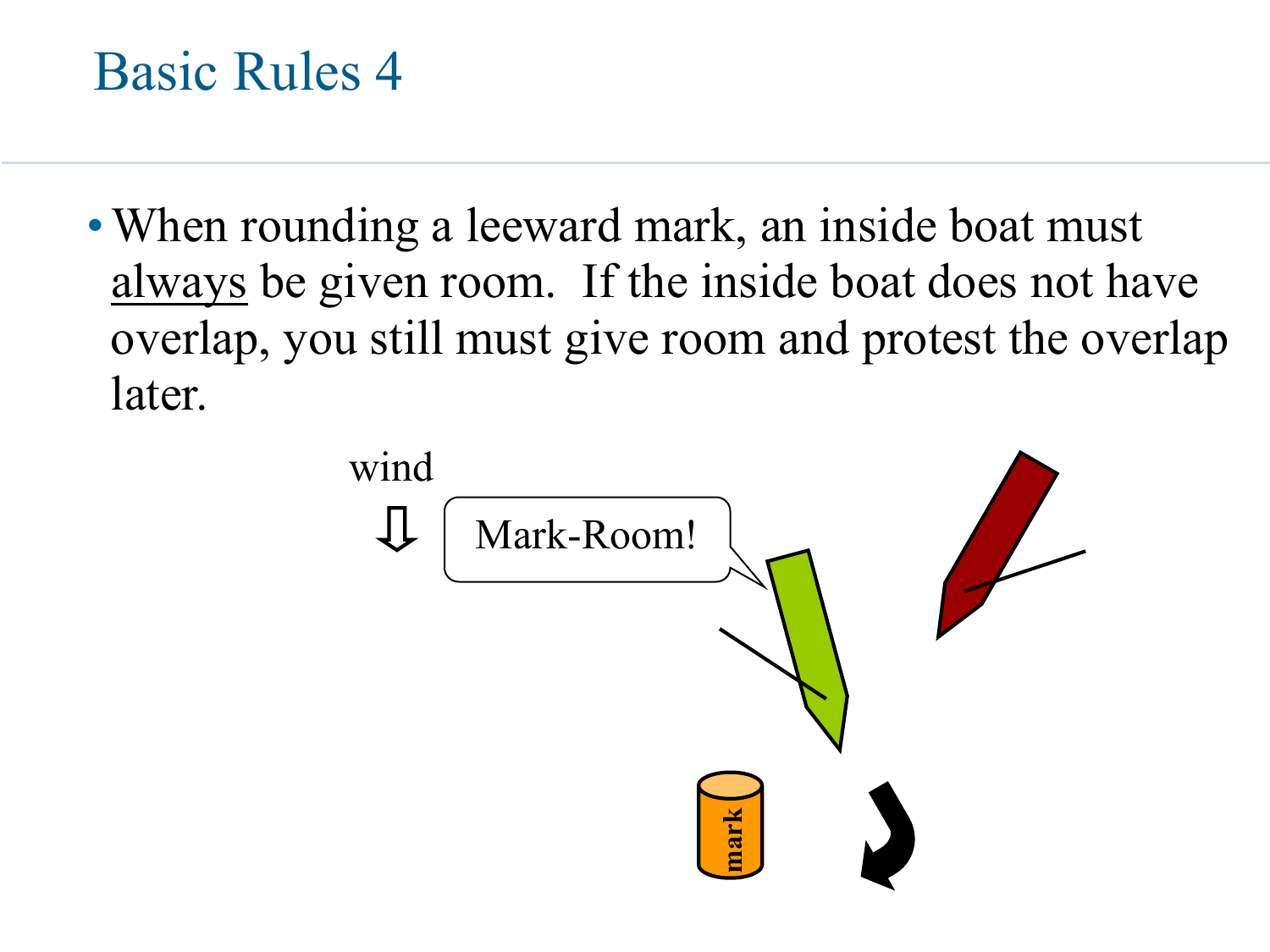• When rounding a leeward mark, an inside boat must always be given room. If the inside boat does not have overlap, you still must give room and protest the overlap later.

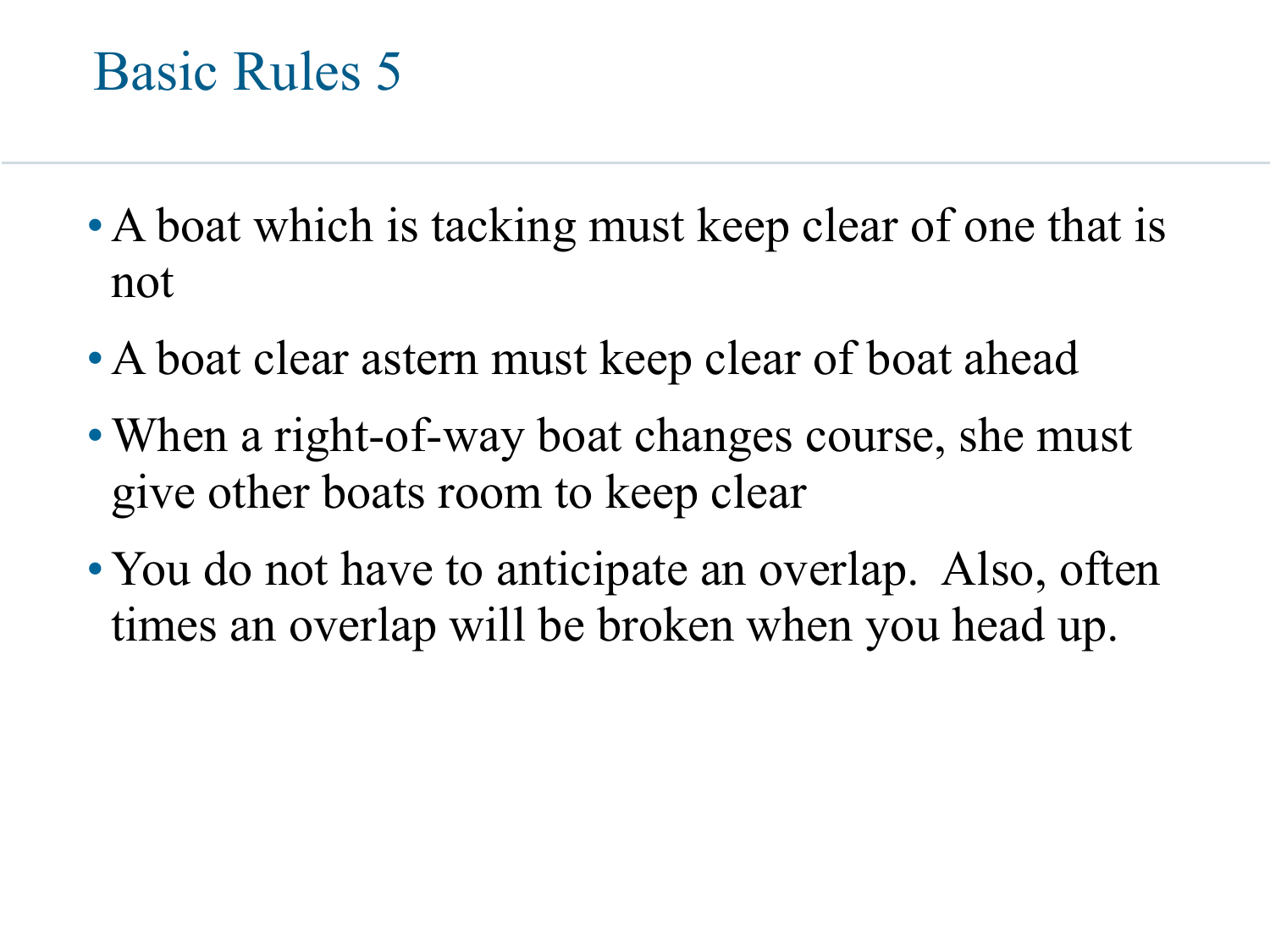- A boat which is tacking must keep clear of one that is not
- A boat clear astern must keep clear of boat ahead
- When a right-of-way boat changes course, she must give other boats room to keep clear
- You do not have to anticipate an overlap. Also, often times an overlap will be broken when you head up.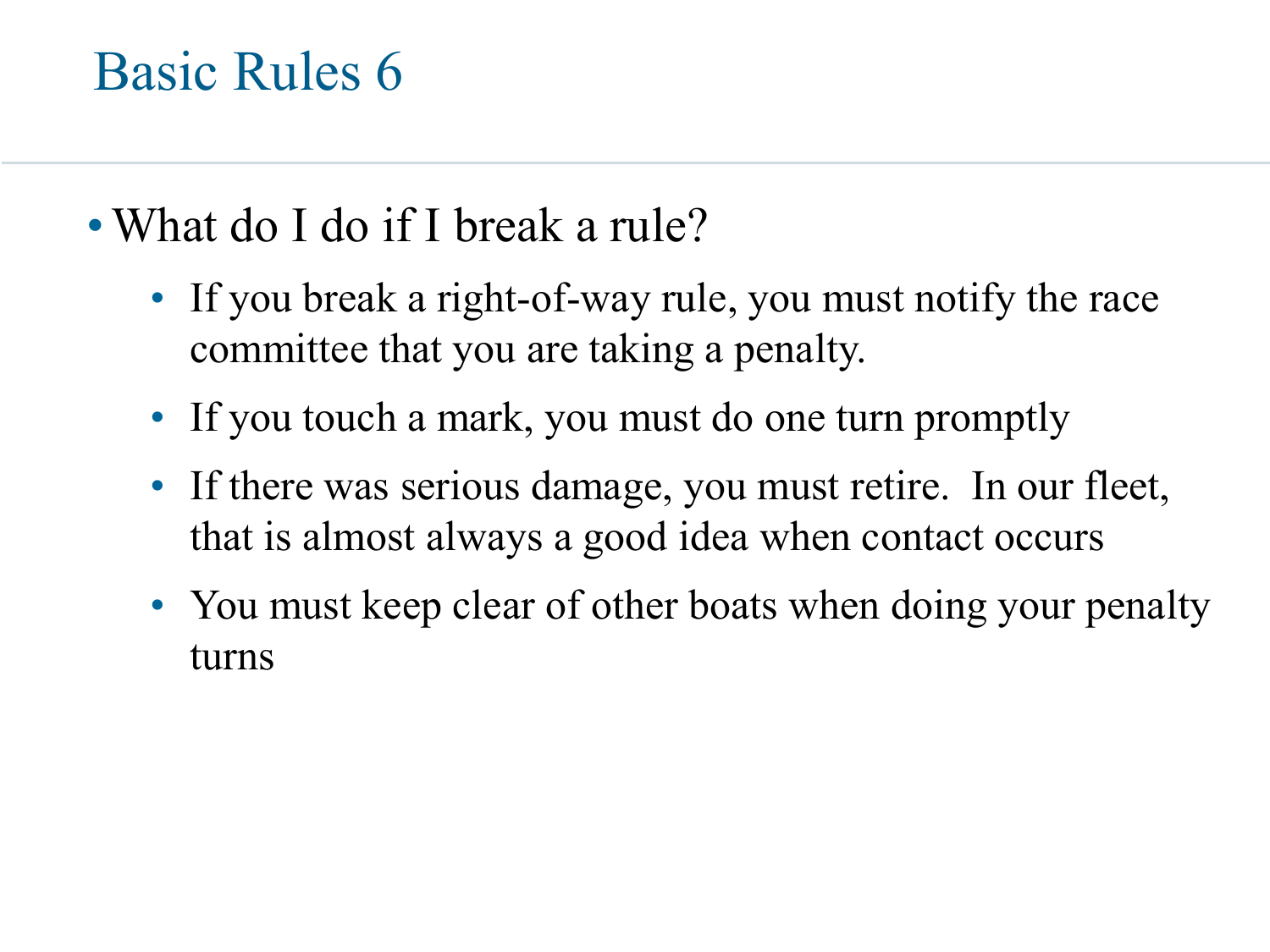- What do I do if I break a rule?
	- If you break a right-of-way rule, you must notify the race committee that you are taking a penalty.
	- If you touch a mark, you must do one turn promptly
	- If there was serious damage, you must retire. In our fleet, that is almost always a good idea when contact occurs
	- You must keep clear of other boats when doing your penalty turns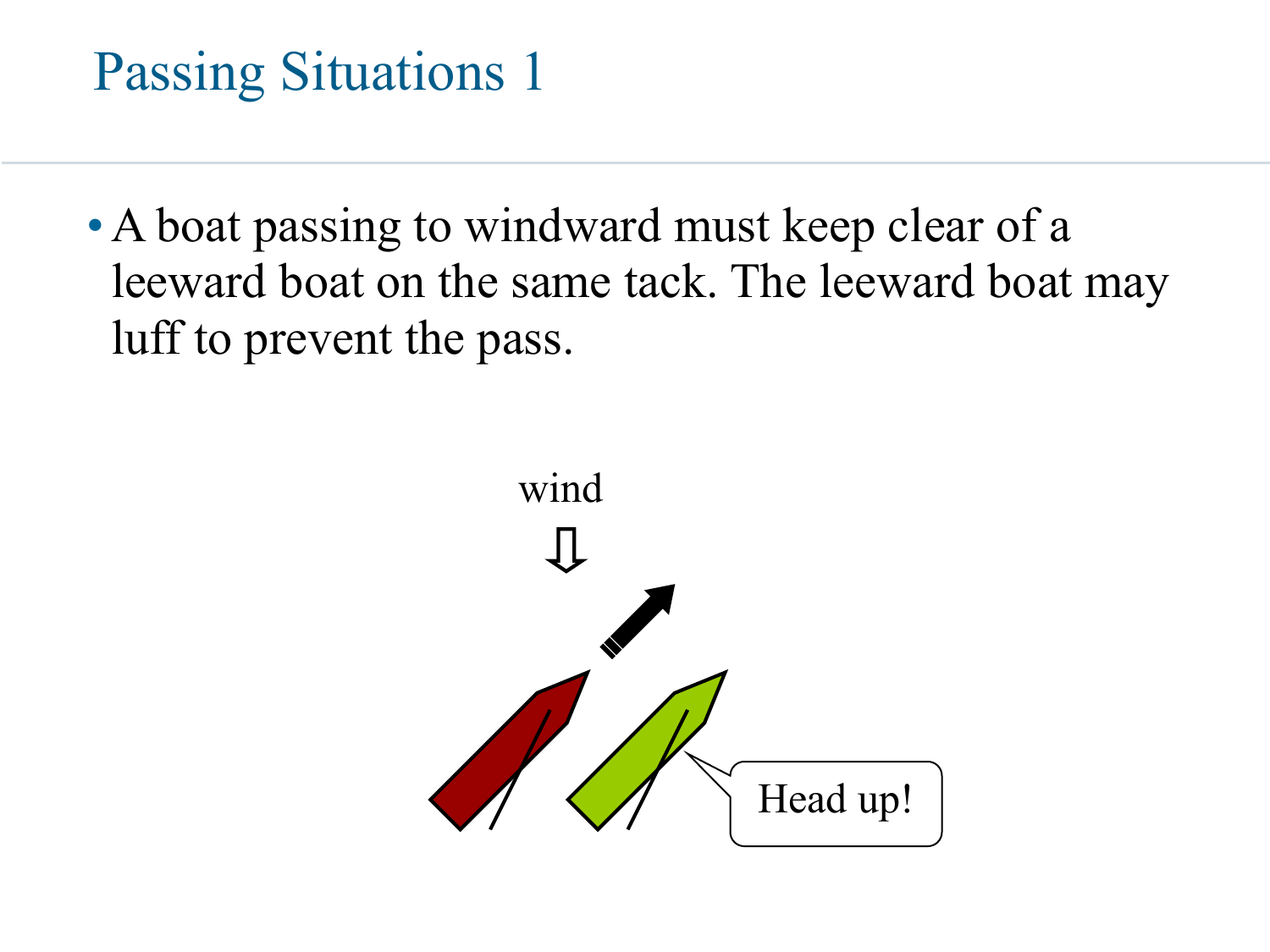#### Passing Situations 1

• A boat passing to windward must keep clear of a leeward boat on the same tack. The leeward boat may luff to prevent the pass.

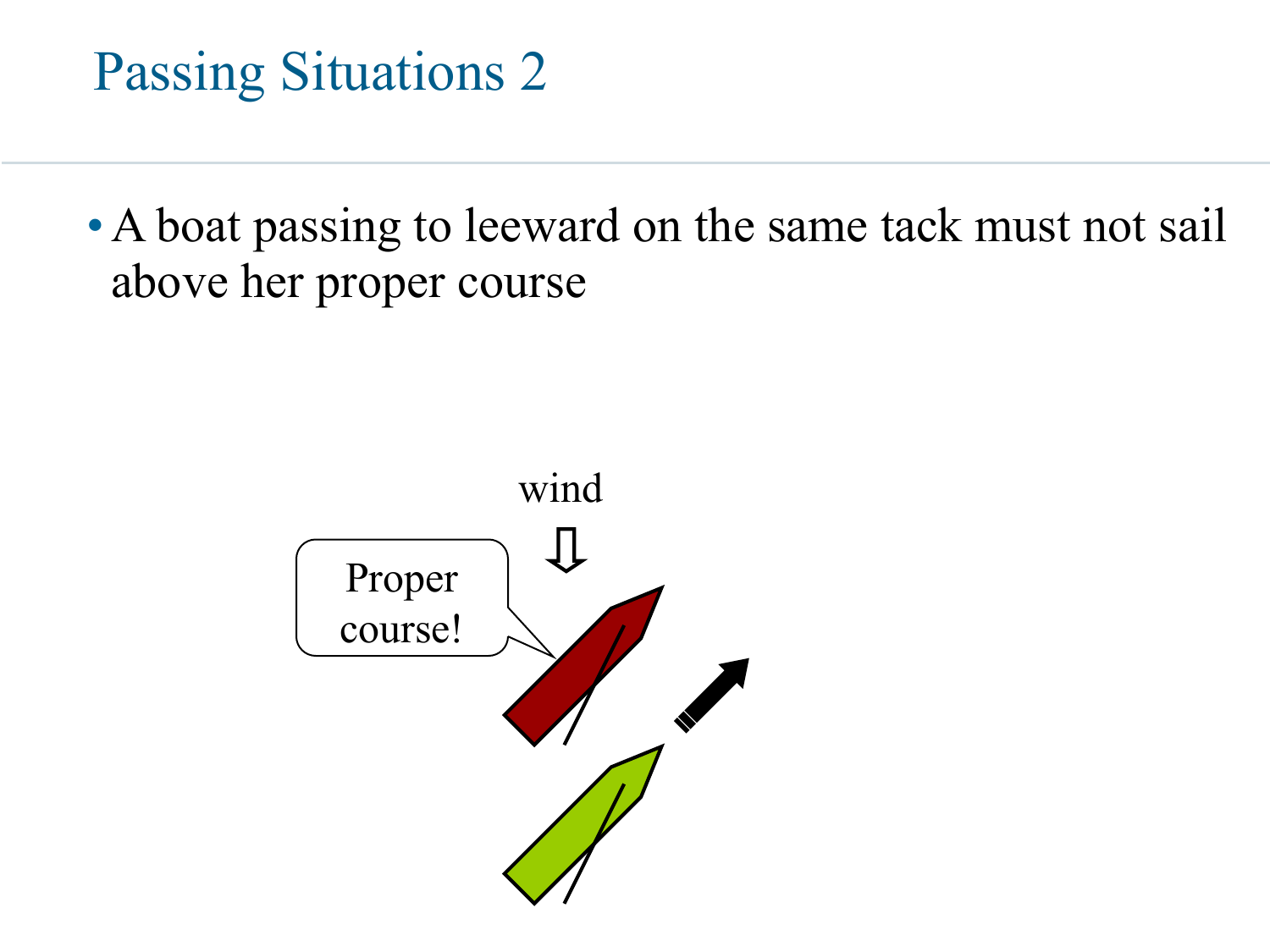

• A boat passing to leeward on the same tack must not sail above her proper course

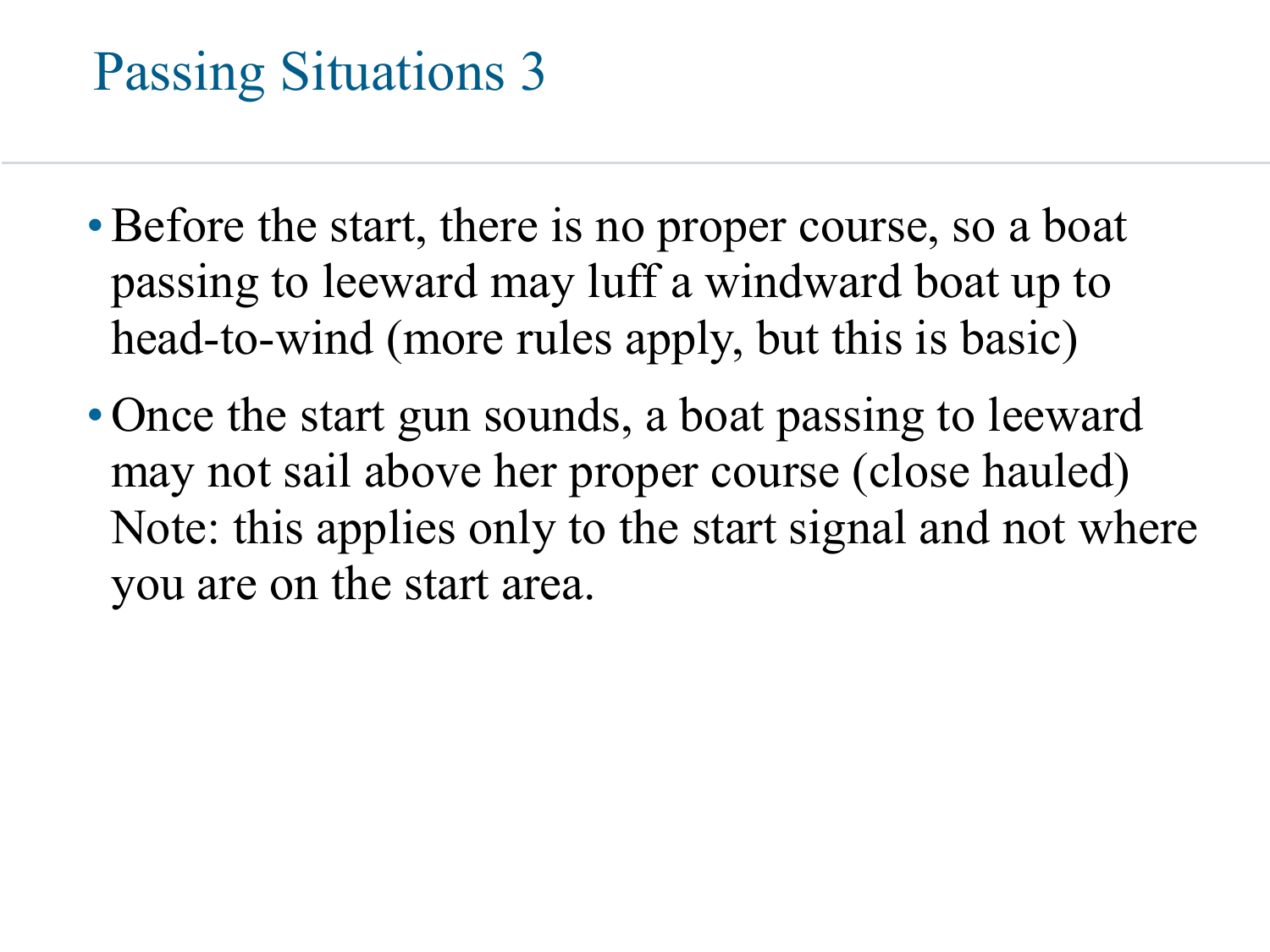#### Passing Situations 3

- Before the start, there is no proper course, so a boat passing to leeward may luff a windward boat up to head-to-wind (more rules apply, but this is basic)
- Once the start gun sounds, a boat passing to leeward may not sail above her proper course (close hauled) Note: this applies only to the start signal and not where you are on the start area.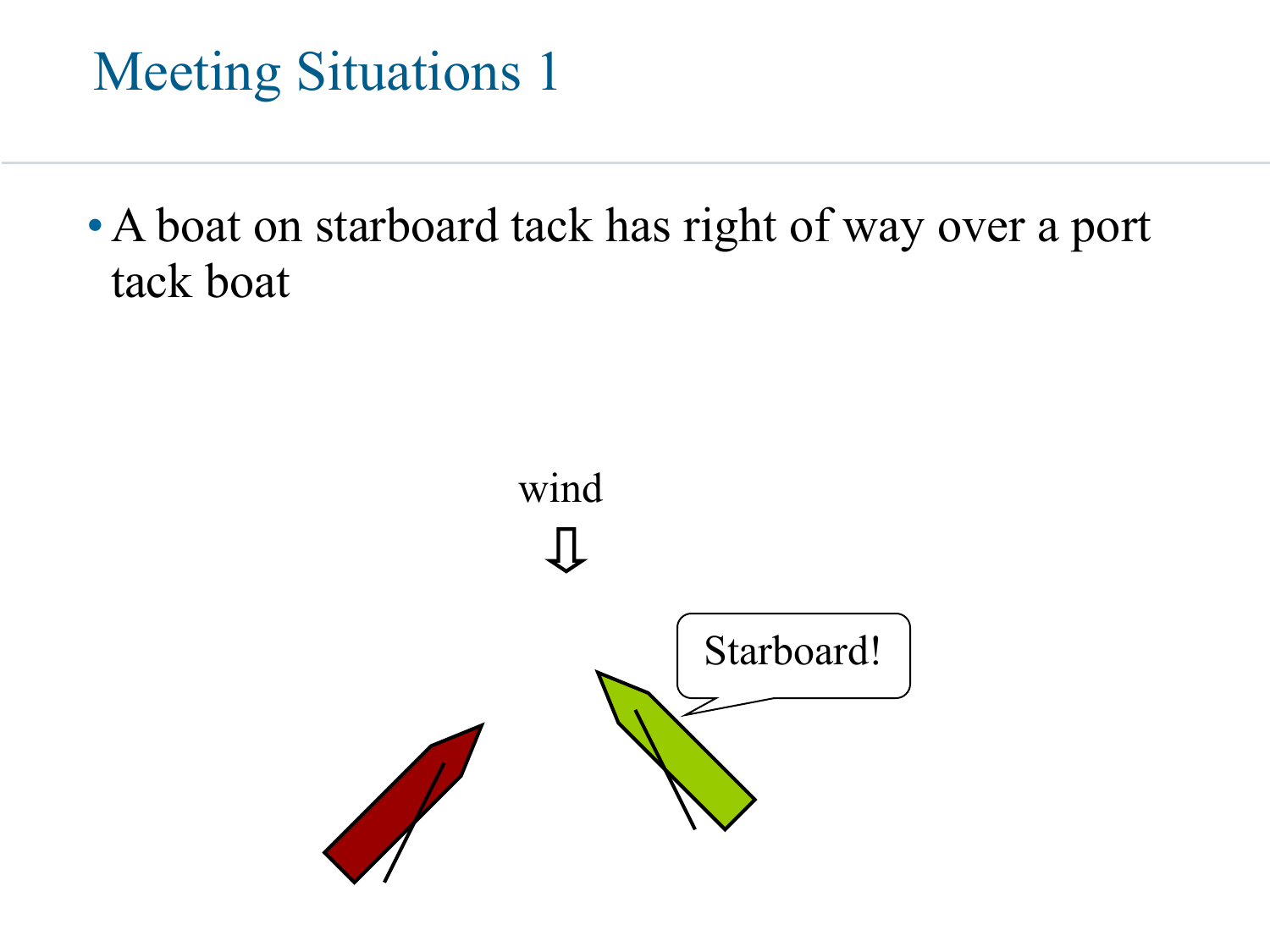#### Meeting Situations 1

•A boat on starboard tack has right of way over a port tack boat

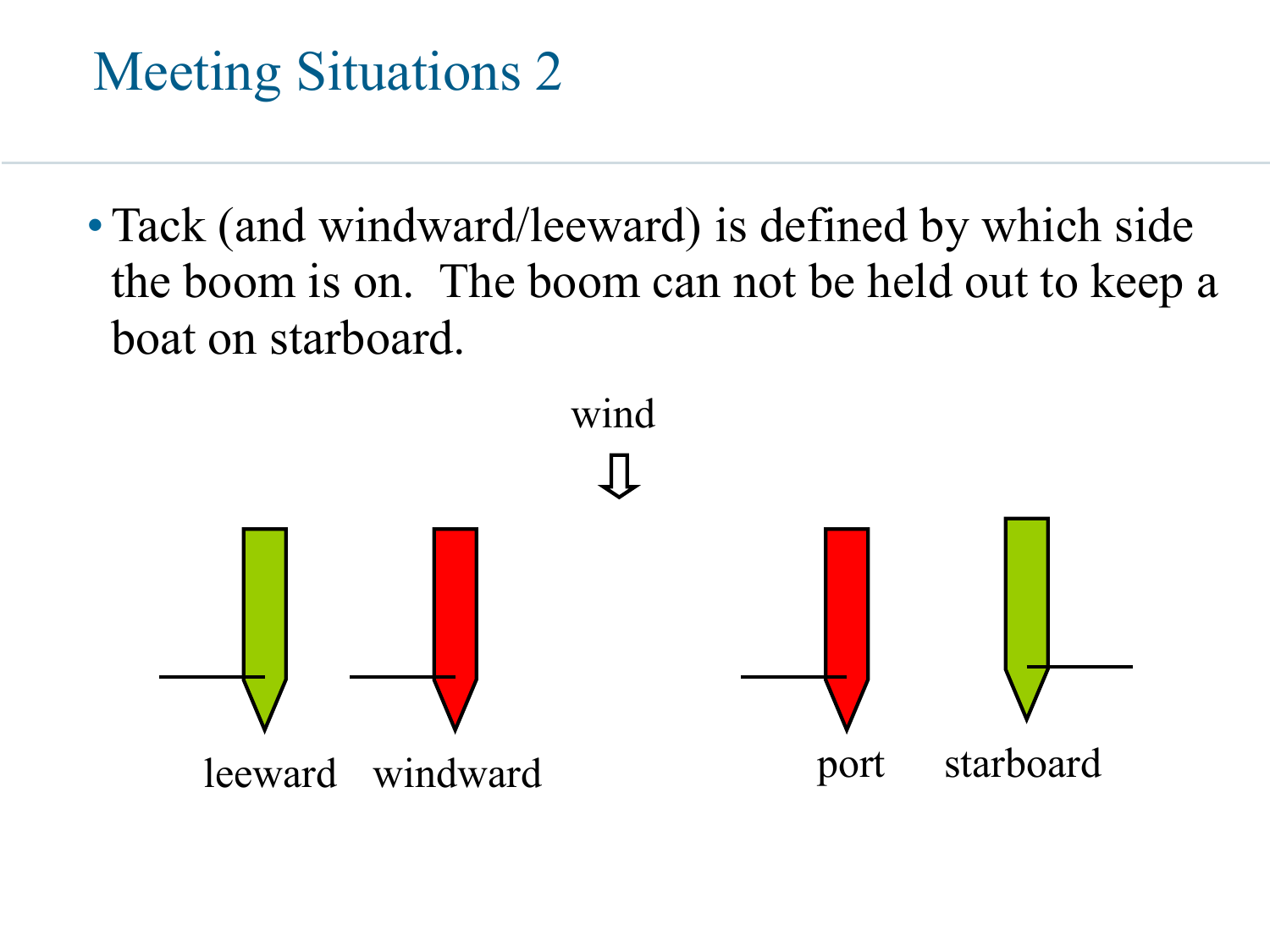### Meeting Situations 2

• Tack (and windward/leeward) is defined by which side the boom is on. The boom can not be held out to keep a boat on starboard.

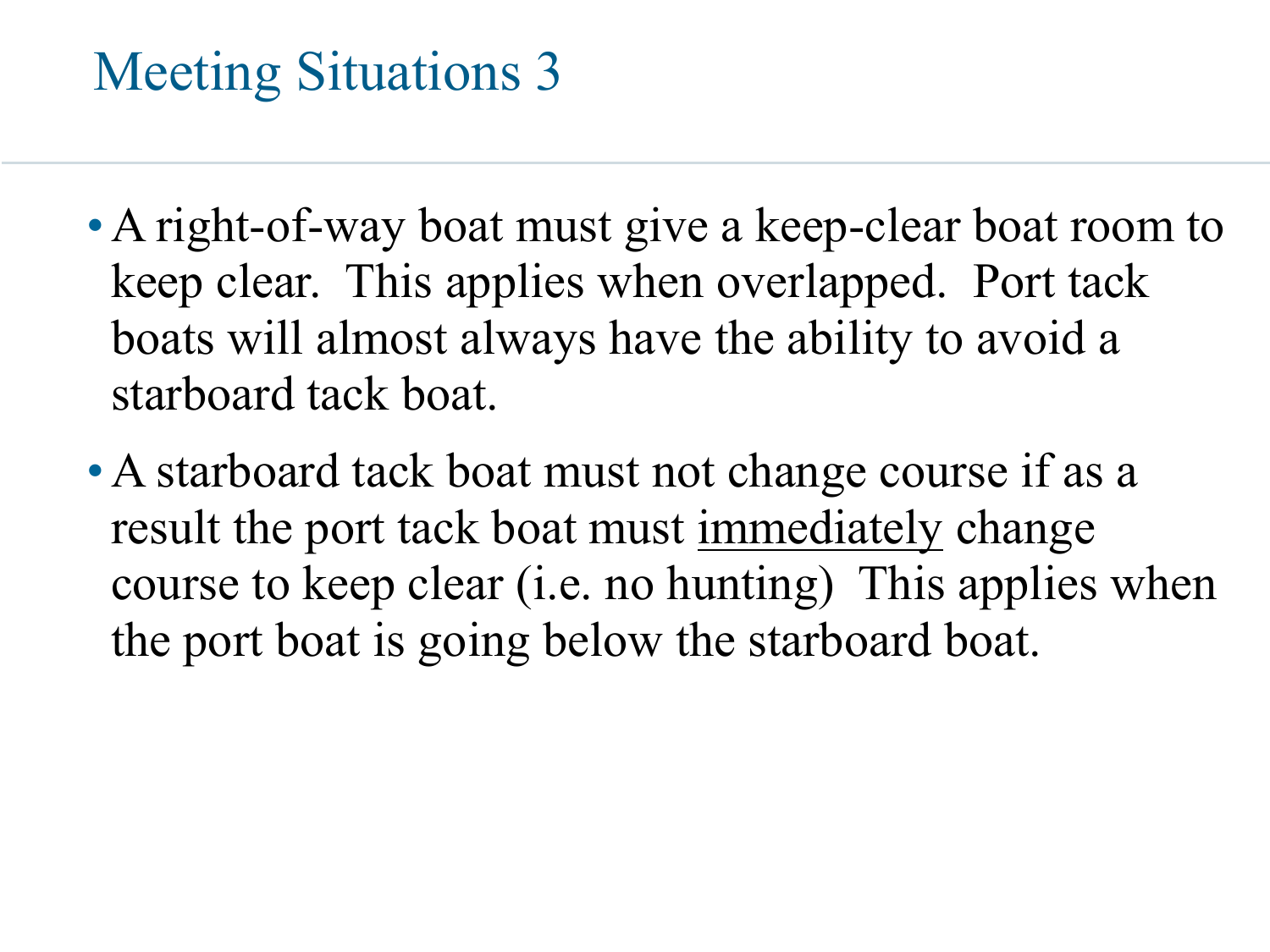#### Meeting Situations 3

- A right-of-way boat must give a keep-clear boat room to keep clear. This applies when overlapped. Port tack boats will almost always have the ability to avoid a starboard tack boat.
- A starboard tack boat must not change course if as a result the port tack boat must immediately change course to keep clear (i.e. no hunting) This applies when the port boat is going below the starboard boat.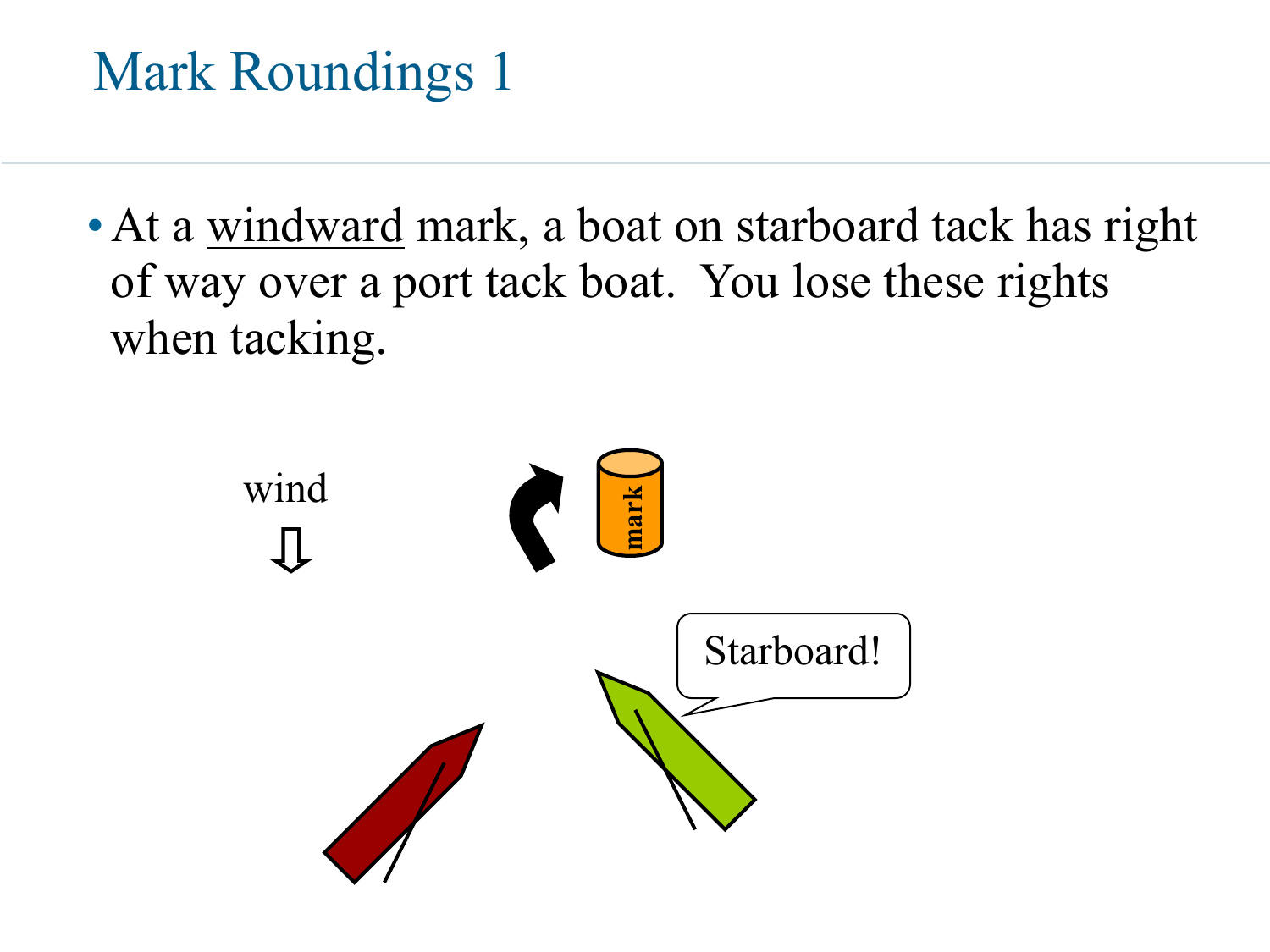• At a windward mark, a boat on starboard tack has right of way over a port tack boat. You lose these rights when tacking.

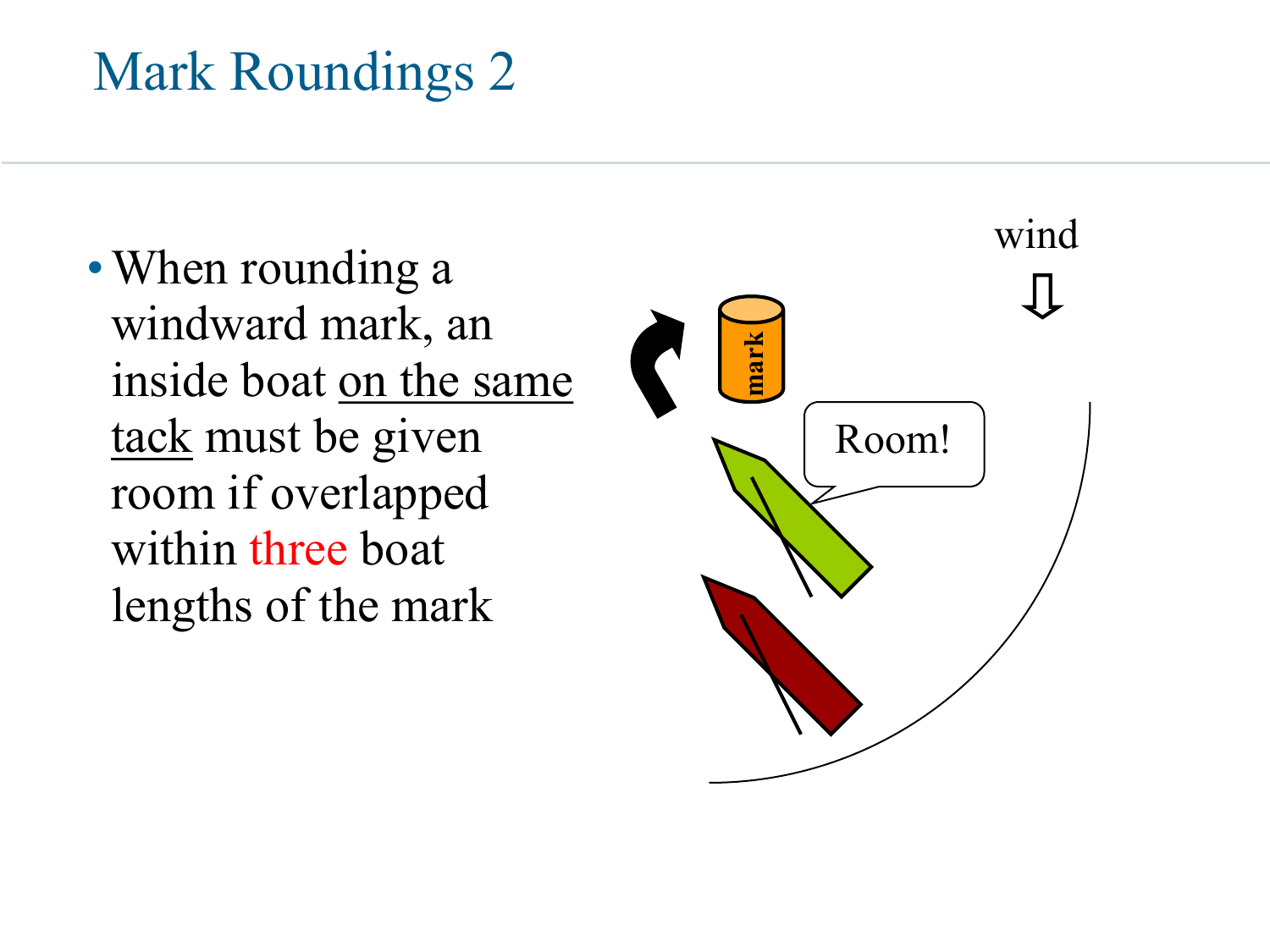• When rounding a windward mark, an inside boat on the same tack must be given room if overlapped within three boat lengths of the mark

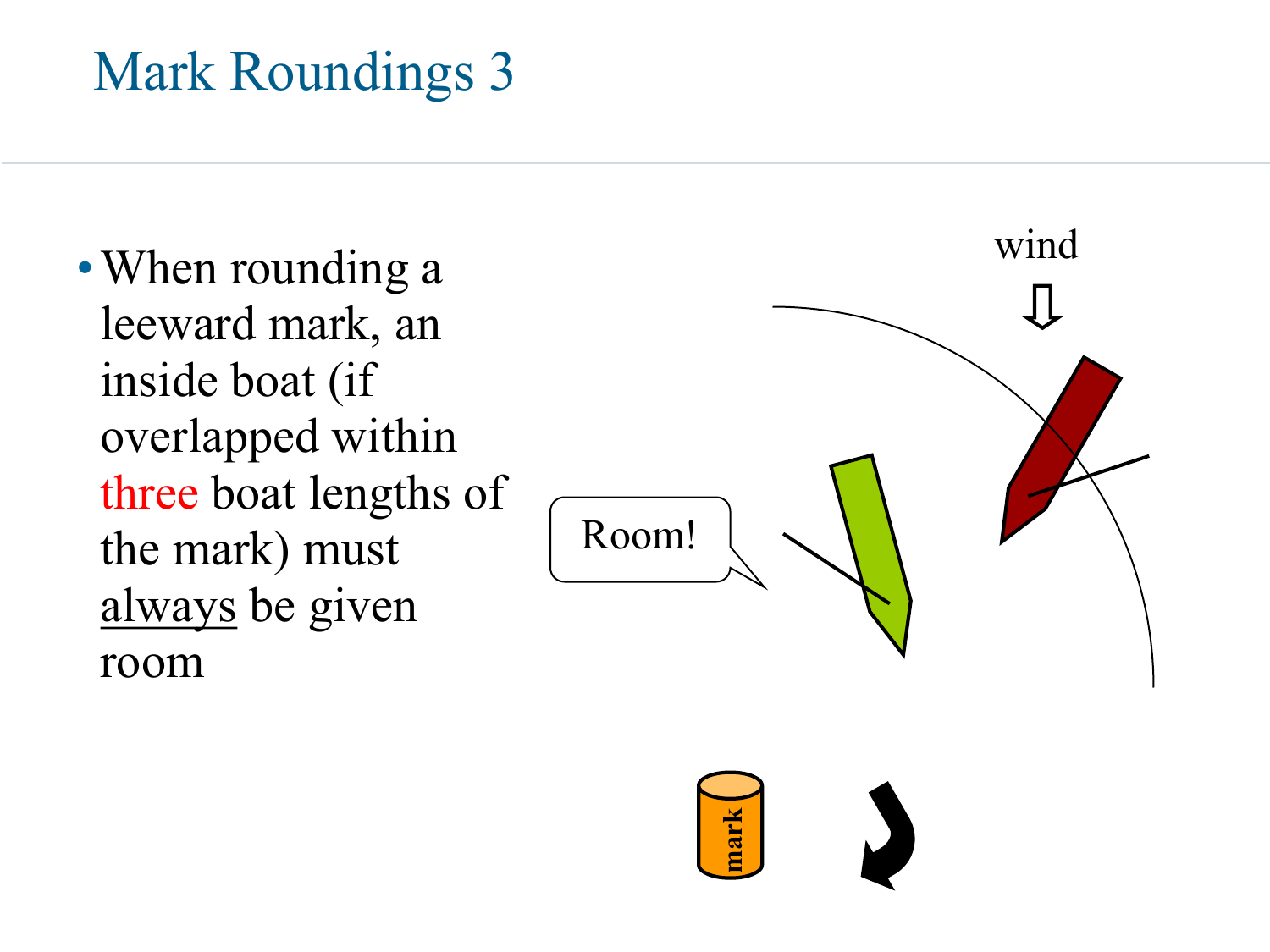• When rounding a leeward mark, an inside boat (if overlapped within three boat lengths of the mark) must always be given room

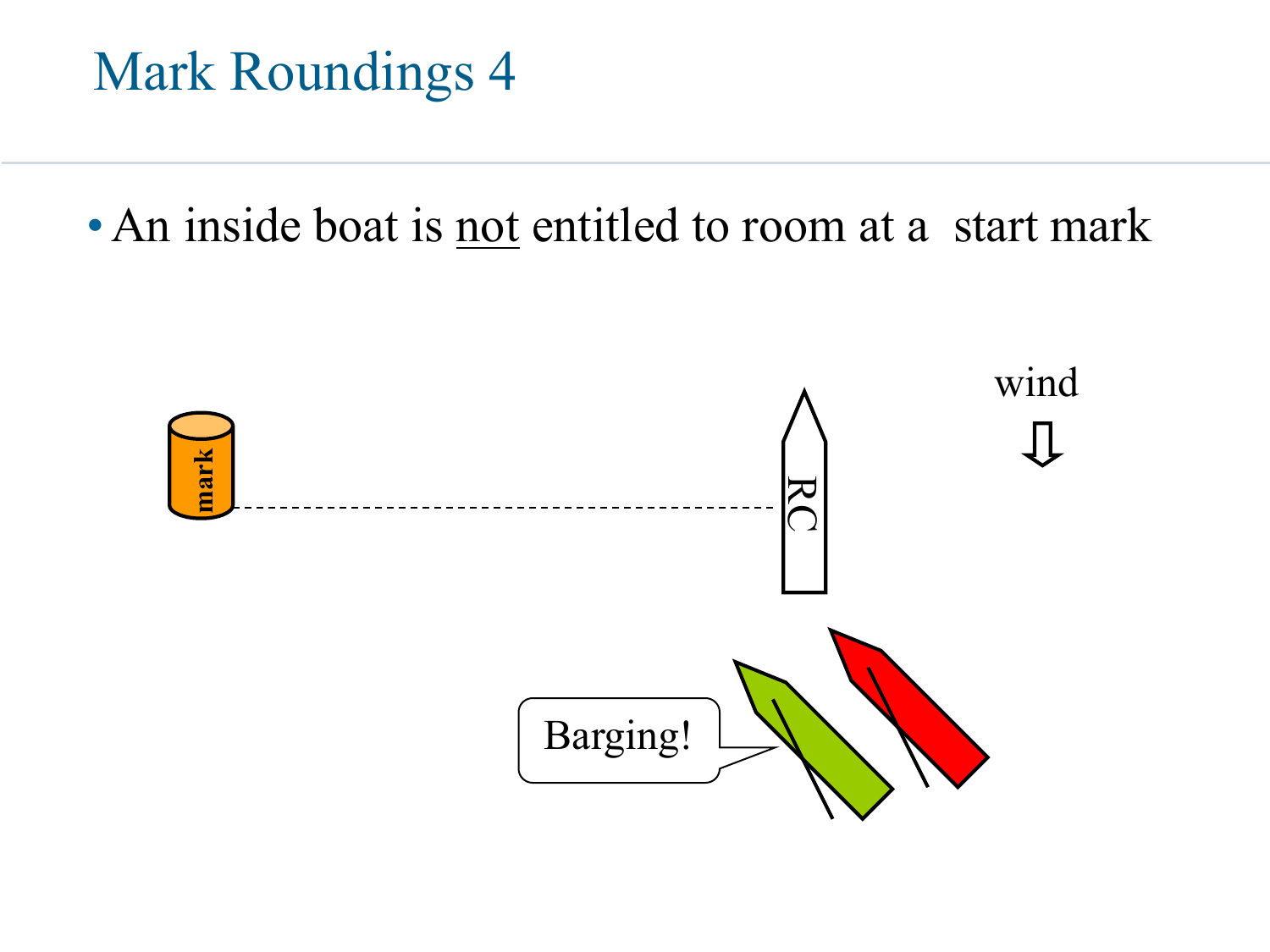•An inside boat is not entitled to room at a start mark

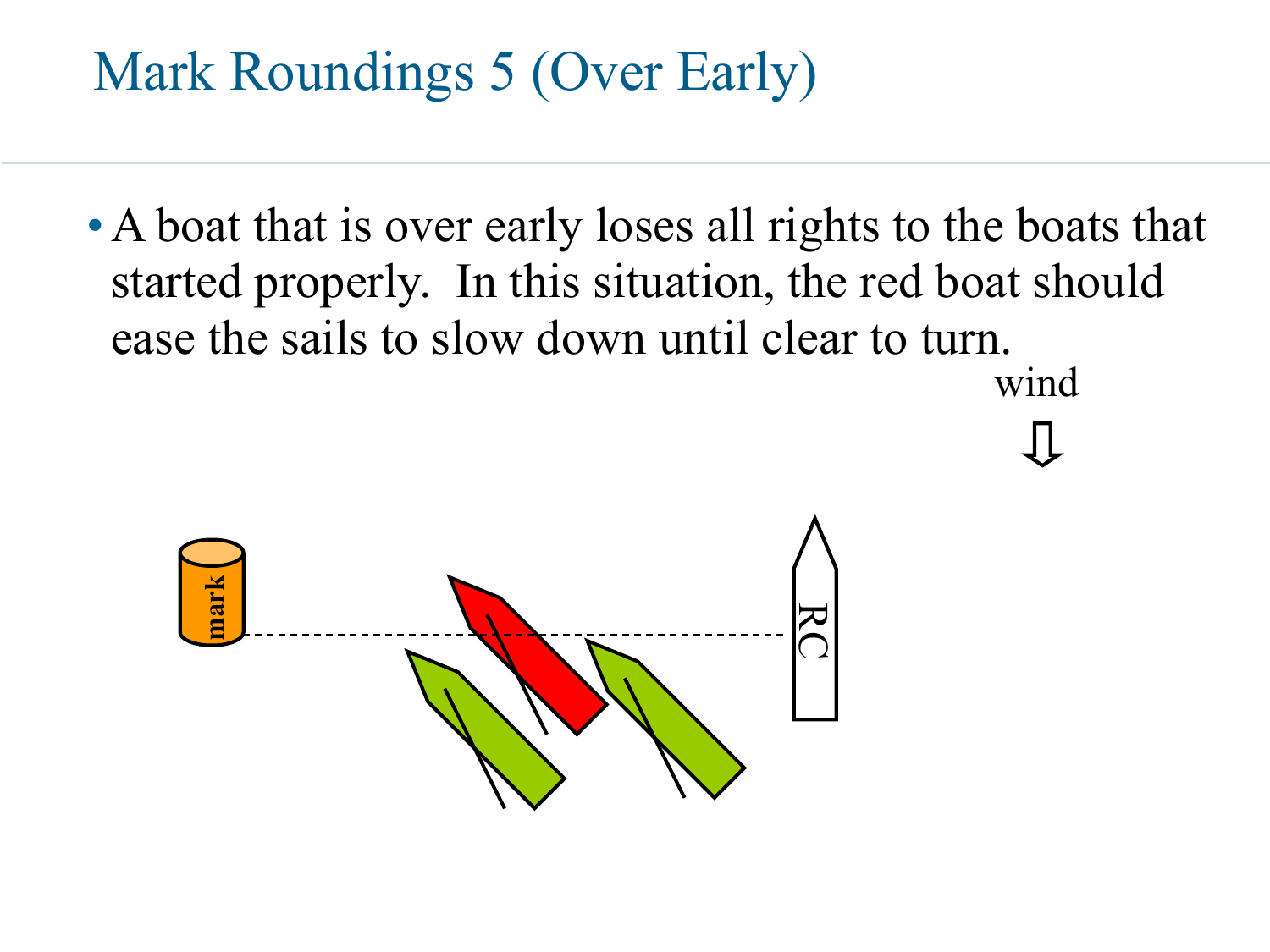### Mark Roundings 5 (Over Early)

• A boat that is over early loses all rights to the boats that started properly. In this situation, the red boat should ease the sails to slow down until clear to turn.

wind

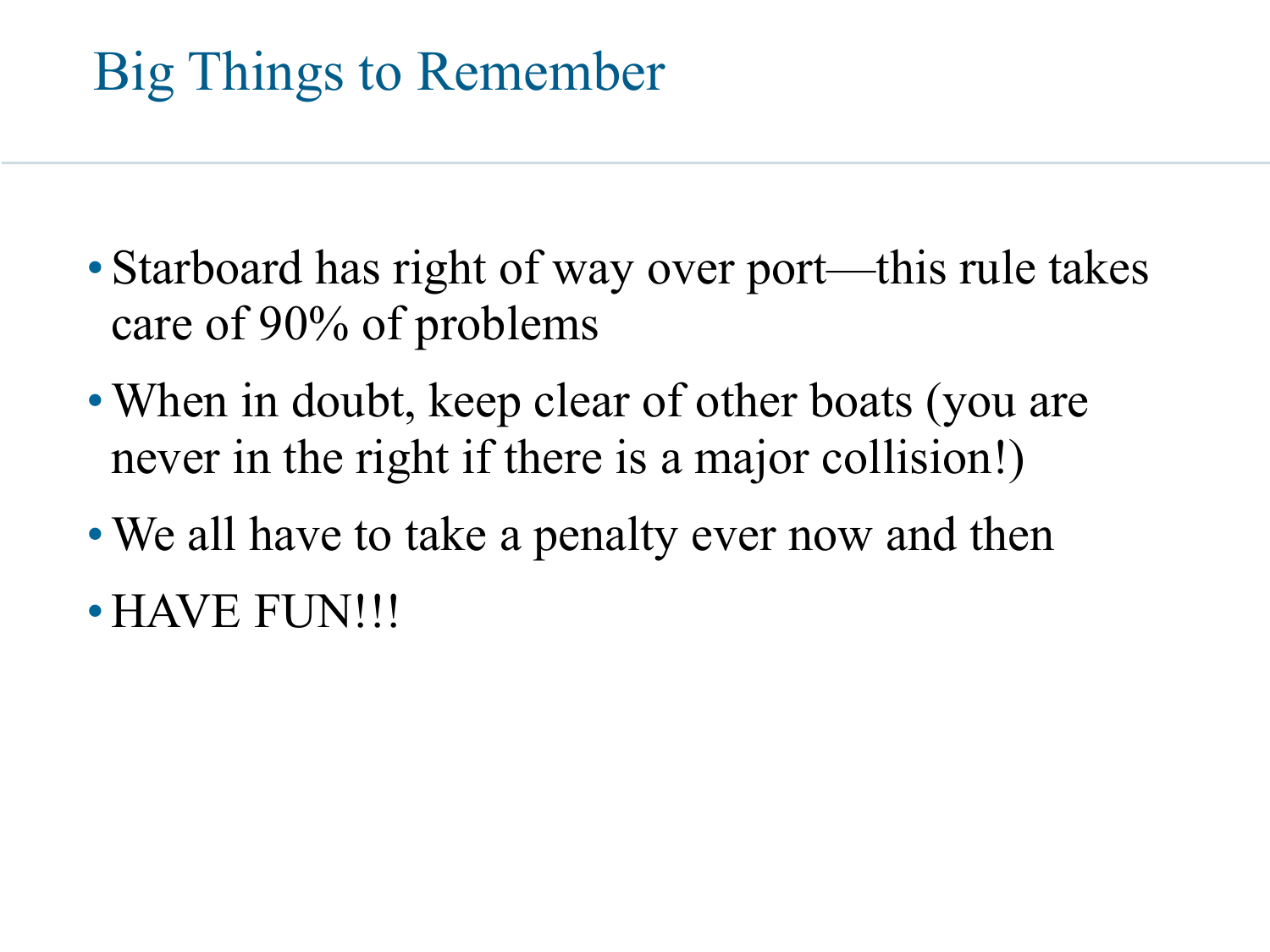## Big Things to Remember

- Starboard has right of way over port—this rule takes care of 90% of problems
- When in doubt, keep clear of other boats (you are never in the right if there is a major collision!)
- We all have to take a penalty ever now and then
- •HAVE FUN!!!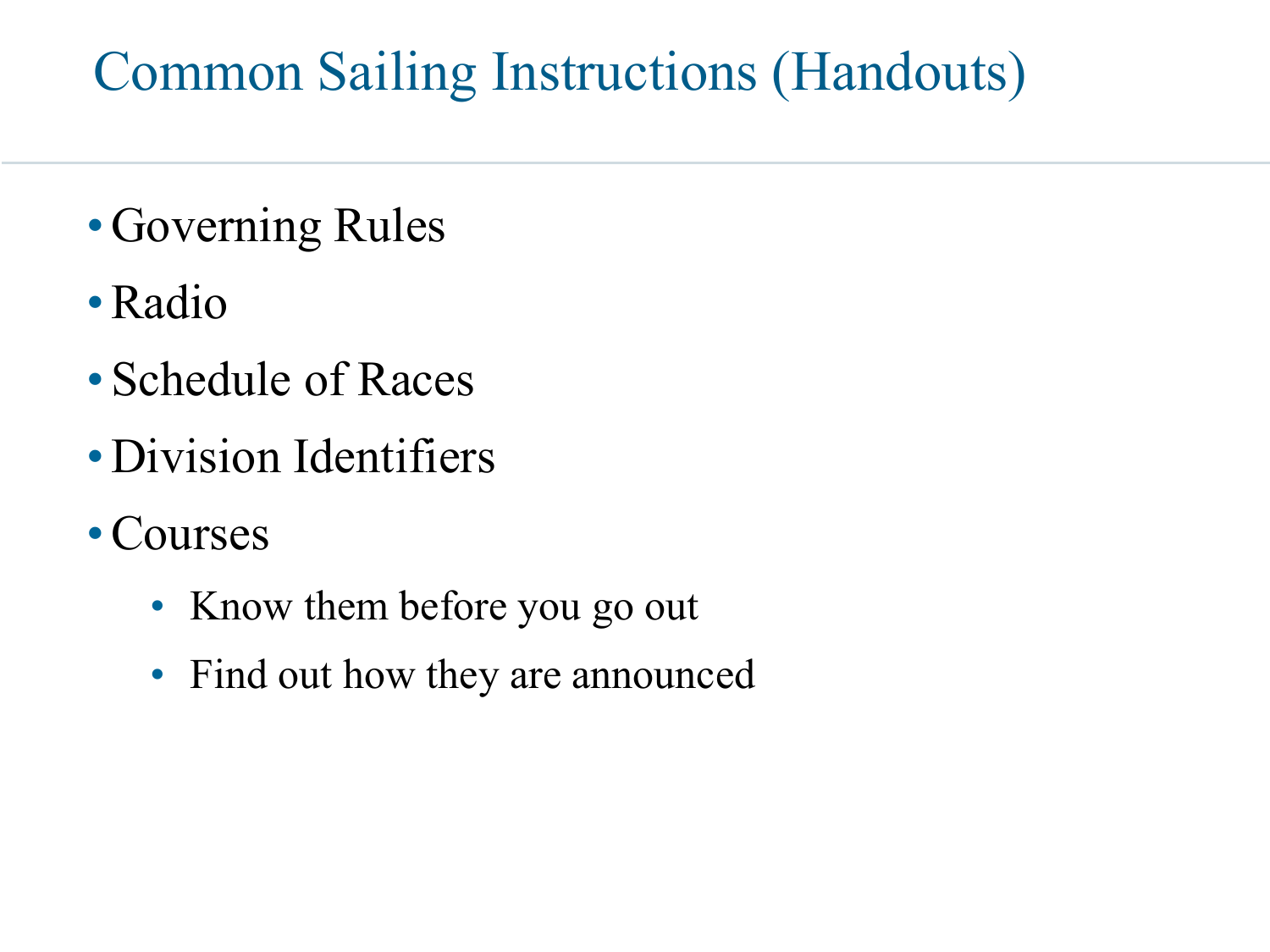#### Common Sailing Instructions (Handouts)

- Governing Rules
- •Radio
- Schedule of Races
- •Division Identifiers
- Courses
	- Know them before you go out
	- Find out how they are announced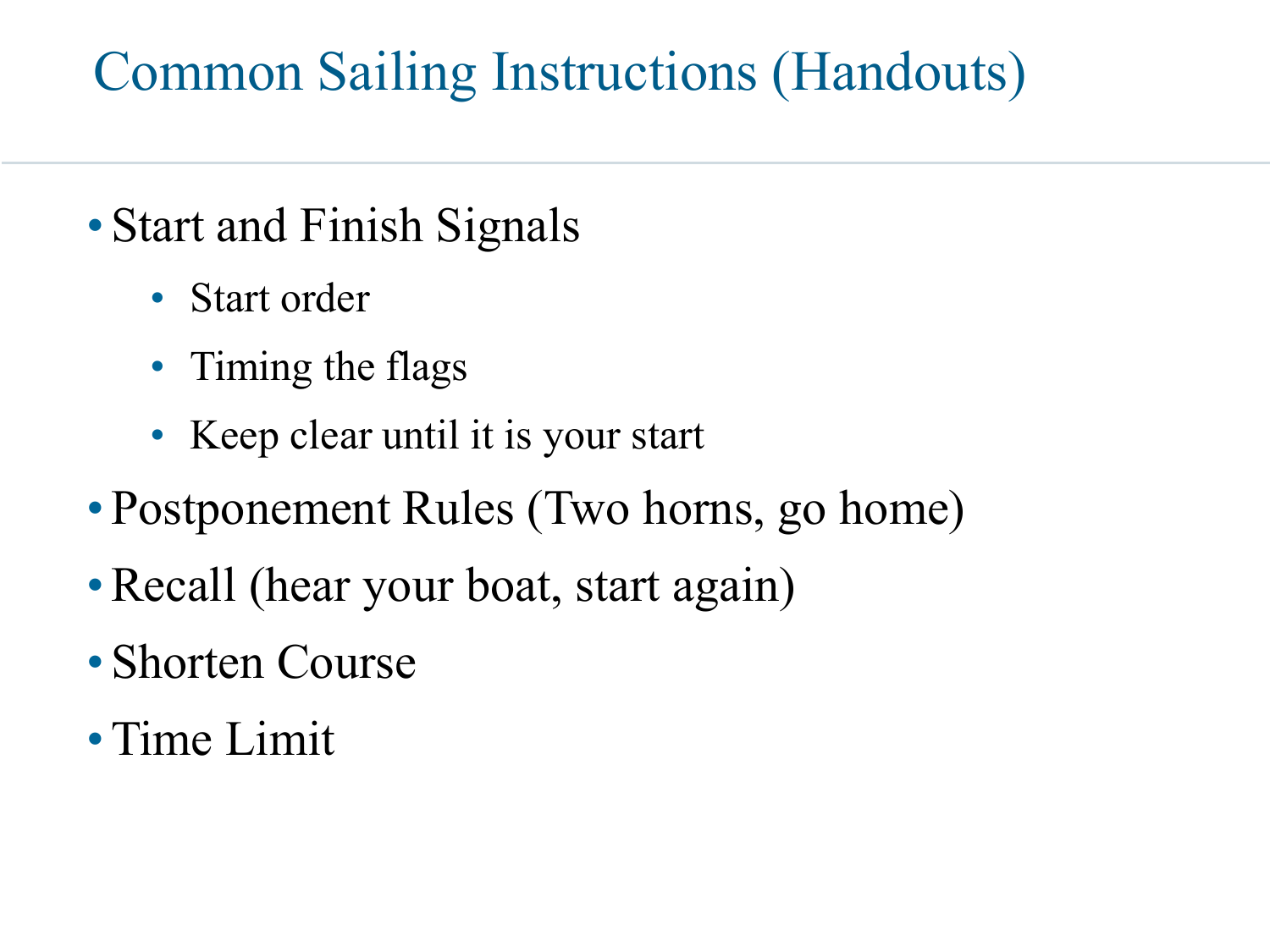#### Common Sailing Instructions (Handouts)

- Start and Finish Signals
	- Start order
	- Timing the flags
	- Keep clear until it is your start
- Postponement Rules (Two horns, go home)
- Recall (hear your boat, start again)
- Shorten Course
- •Time Limit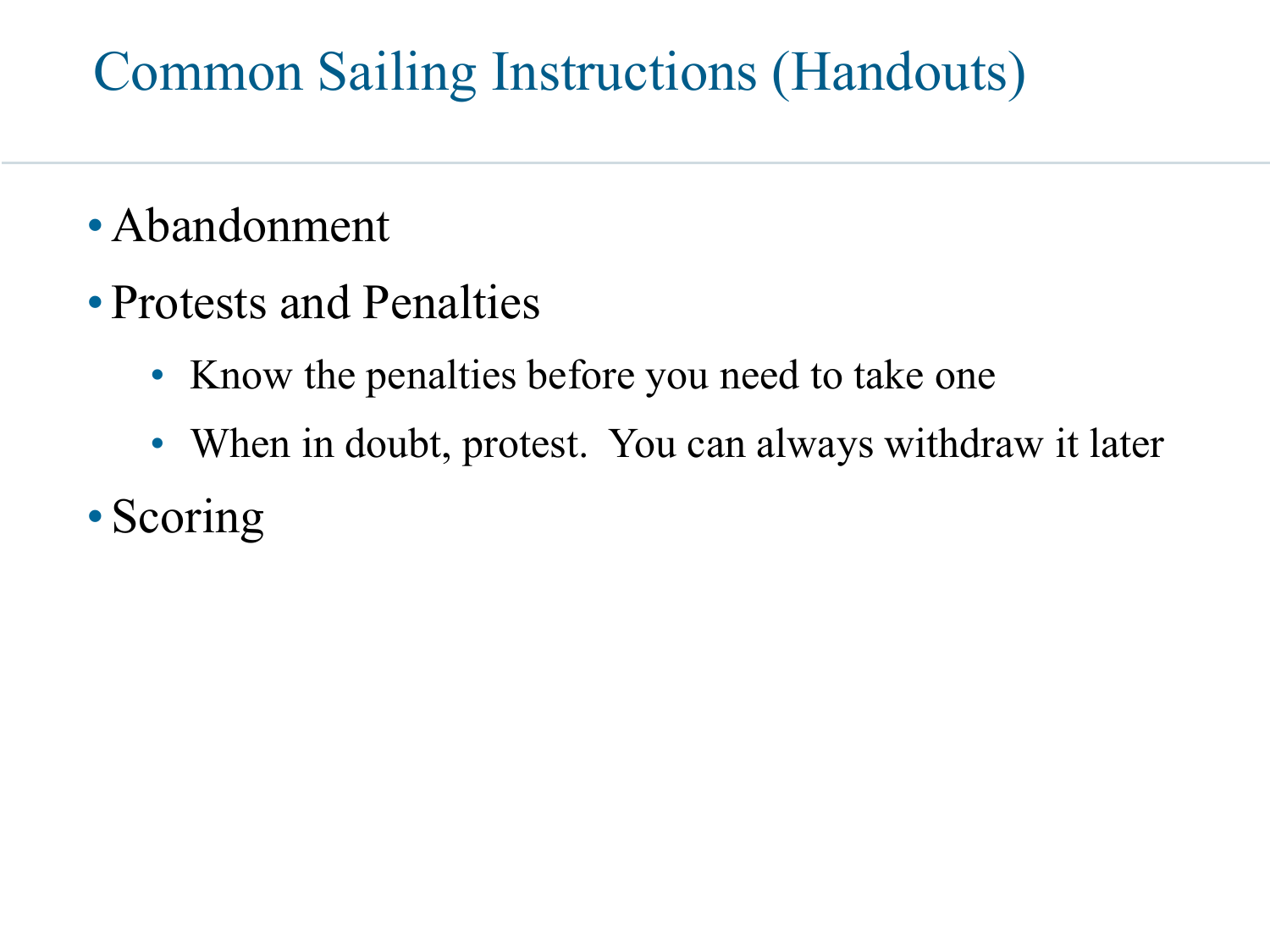#### Common Sailing Instructions (Handouts)

- •Abandonment
- Protests and Penalties
	- Know the penalties before you need to take one
	- When in doubt, protest. You can always withdraw it later
- Scoring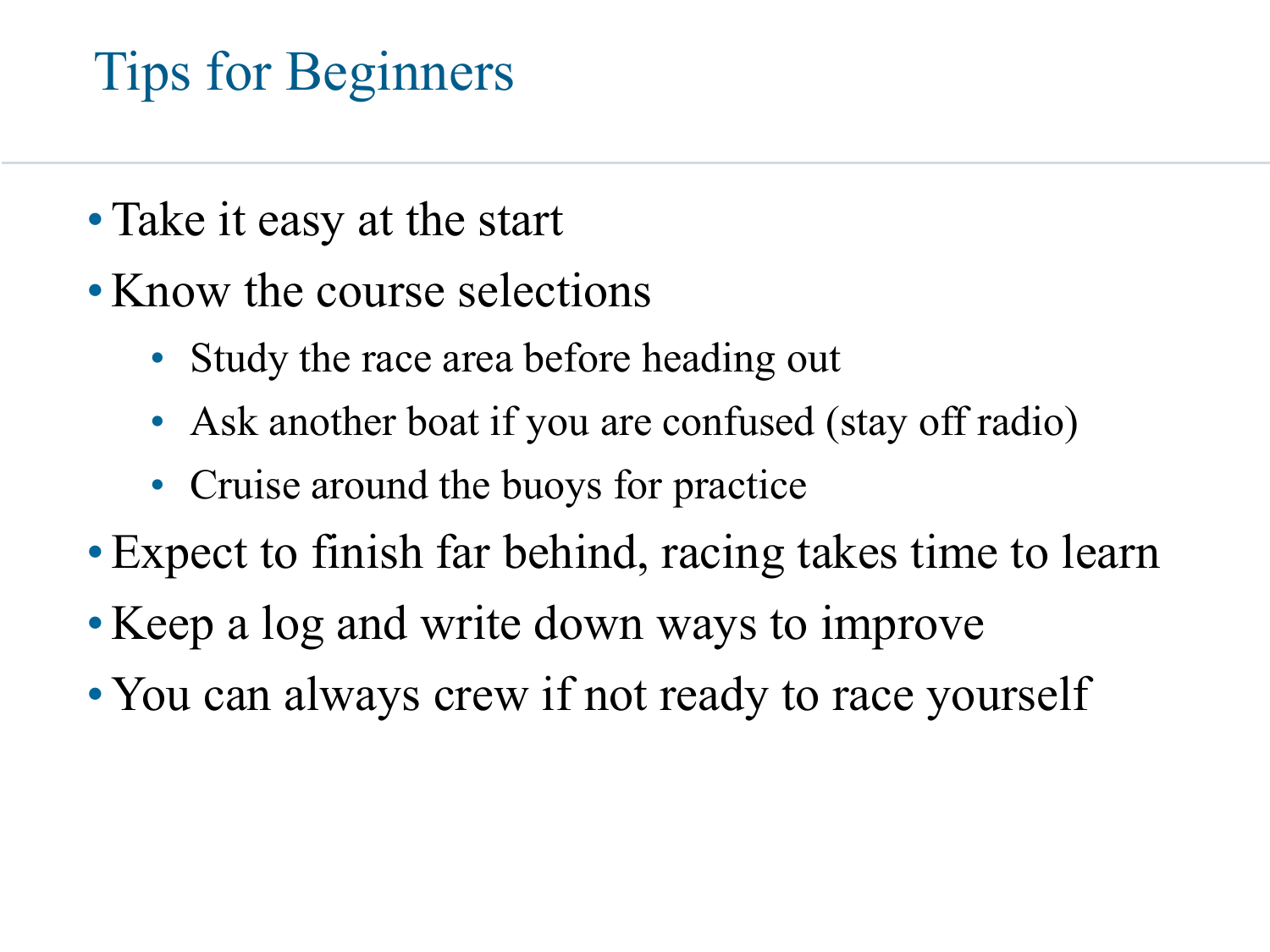## Tips for Beginners

- Take it easy at the start
- Know the course selections
	- Study the race area before heading out
	- Ask another boat if you are confused (stay off radio)
	- Cruise around the buoys for practice
- •Expect to finish far behind, racing takes time to learn
- Keep a log and write down ways to improve
- You can always crew if not ready to race yourself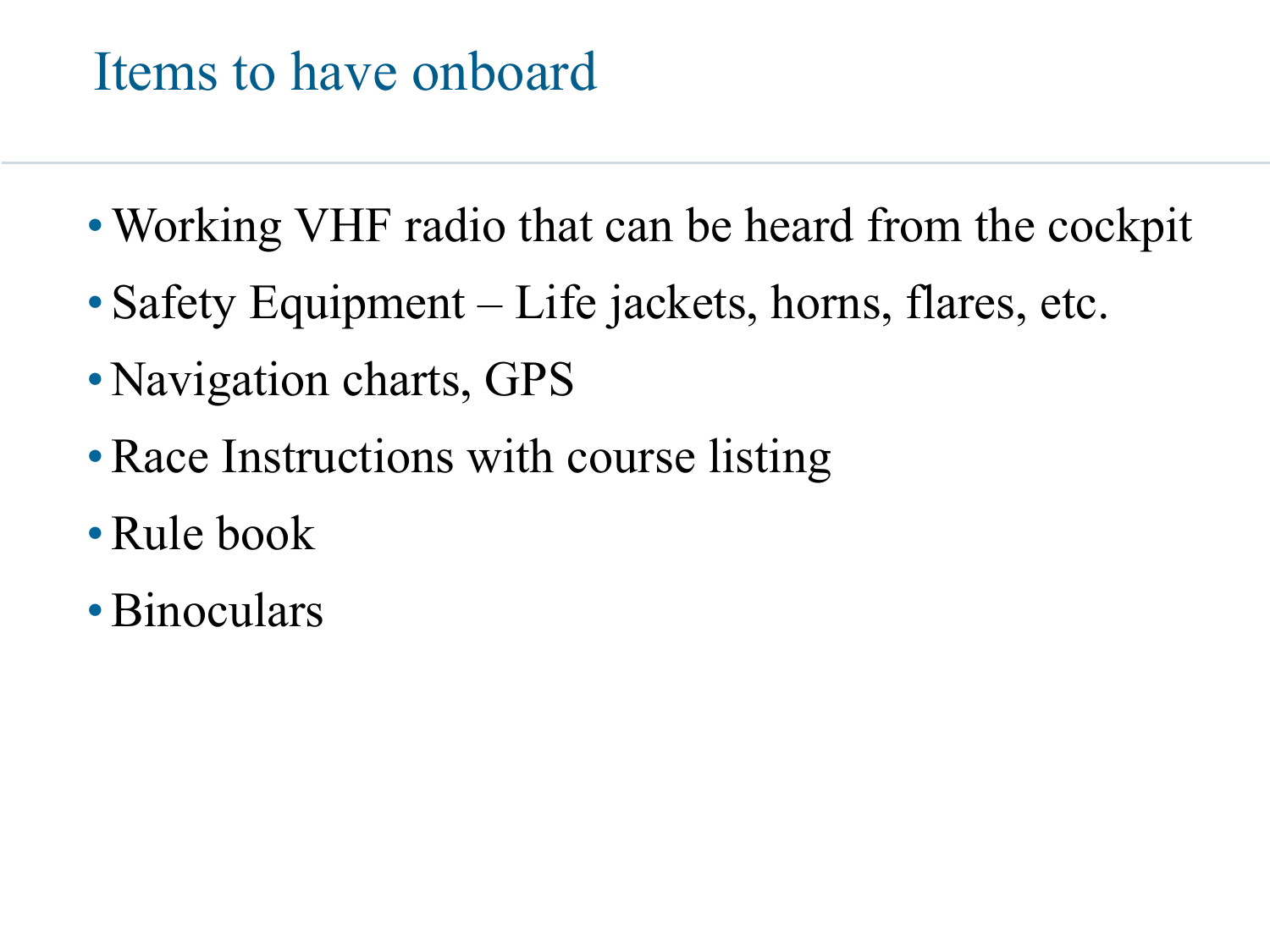#### Items to have onboard

- Working VHF radio that can be heard from the cockpit
- Safety Equipment Life jackets, horns, flares, etc.
- Navigation charts, GPS
- Race Instructions with course listing
- •Rule book
- Binoculars